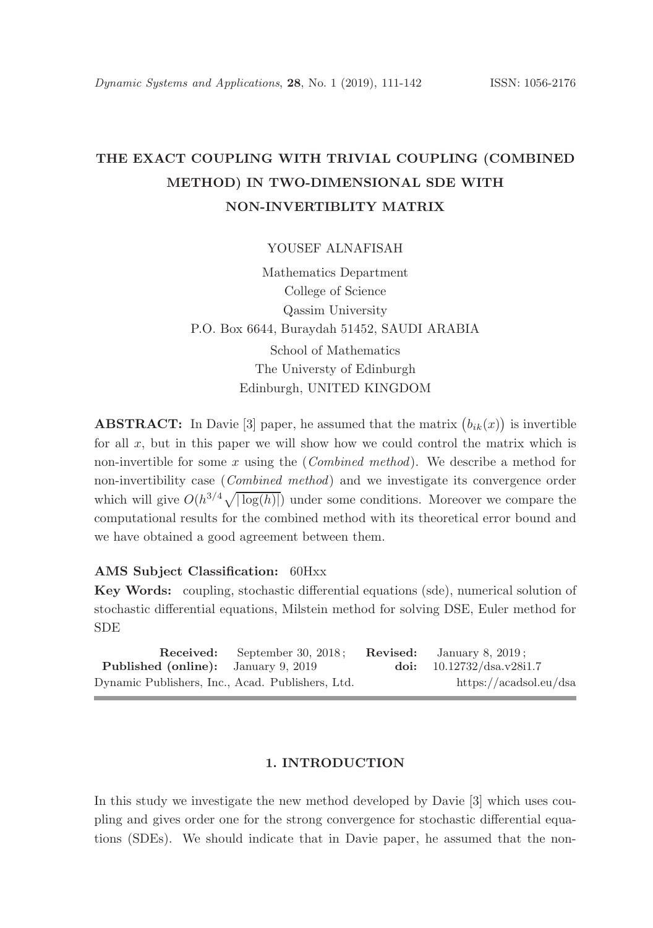# THE EXACT COUPLING WITH TRIVIAL COUPLING (COMBINED METHOD) IN TWO-DIMENSIONAL SDE WITH NON-INVERTIBLITY MATRIX

YOUSEF ALNAFISAH

Mathematics Department College of Science Qassim University P.O. Box 6644, Buraydah 51452, SAUDI ARABIA School of Mathematics The Universty of Edinburgh Edinburgh, UNITED KINGDOM

**ABSTRACT:** In Davie [3] paper, he assumed that the matrix  $(b_{ik}(x))$  is invertible for all  $x$ , but in this paper we will show how we could control the matrix which is non-invertible for some x using the (*Combined method*). We describe a method for non-invertibility case (Combined method) and we investigate its convergence order which will give  $O(h^{3/4}\sqrt{|\log(h)|})$  under some conditions. Moreover we compare the computational results for the combined method with its theoretical error bound and we have obtained a good agreement between them.

#### AMS Subject Classification: 60Hxx

Key Words: coupling, stochastic differential equations (sde), numerical solution of stochastic differential equations, Milstein method for solving DSE, Euler method for SDE

|                                                  | <b>Received:</b> September 30, 2018; | <b>Revised:</b> January 8, 2019; |
|--------------------------------------------------|--------------------------------------|----------------------------------|
| <b>Published (online):</b> January 9, 2019       |                                      | doi: $10.12732/dsa.v28i1.7$      |
| Dynamic Publishers, Inc., Acad. Publishers, Ltd. |                                      | https://acadsol.eu/dsa           |

#### 1. INTRODUCTION

In this study we investigate the new method developed by Davie [3] which uses coupling and gives order one for the strong convergence for stochastic differential equations (SDEs). We should indicate that in Davie paper, he assumed that the non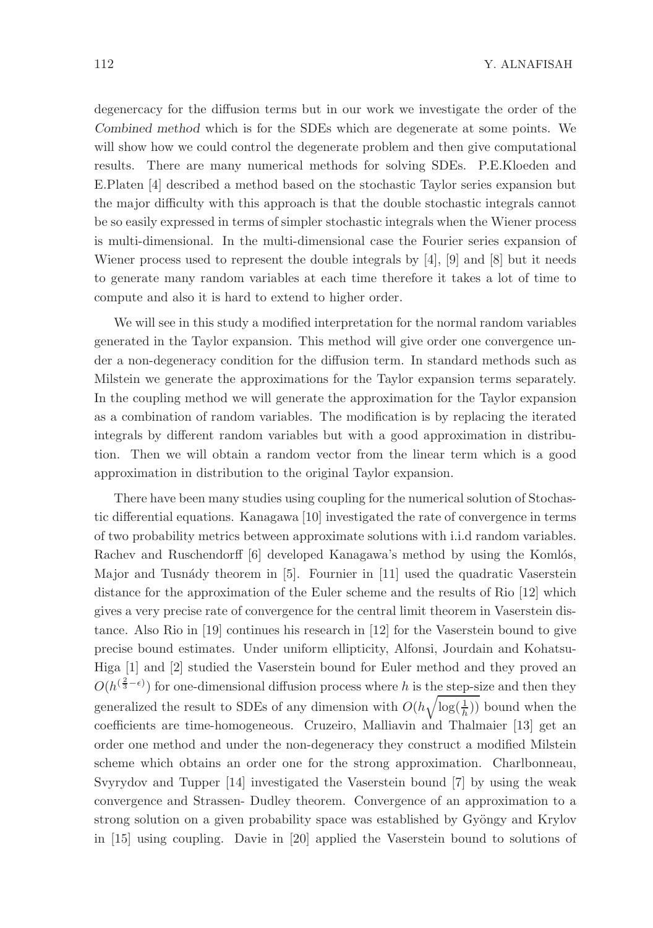degenercacy for the diffusion terms but in our work we investigate the order of the Combined method which is for the SDEs which are degenerate at some points. We will show how we could control the degenerate problem and then give computational results. There are many numerical methods for solving SDEs. P.E.Kloeden and E.Platen [4] described a method based on the stochastic Taylor series expansion but the major difficulty with this approach is that the double stochastic integrals cannot be so easily expressed in terms of simpler stochastic integrals when the Wiener process is multi-dimensional. In the multi-dimensional case the Fourier series expansion of Wiener process used to represent the double integrals by  $[4]$ ,  $[9]$  and  $[8]$  but it needs to generate many random variables at each time therefore it takes a lot of time to compute and also it is hard to extend to higher order.

We will see in this study a modified interpretation for the normal random variables generated in the Taylor expansion. This method will give order one convergence under a non-degeneracy condition for the diffusion term. In standard methods such as Milstein we generate the approximations for the Taylor expansion terms separately. In the coupling method we will generate the approximation for the Taylor expansion as a combination of random variables. The modification is by replacing the iterated integrals by different random variables but with a good approximation in distribution. Then we will obtain a random vector from the linear term which is a good approximation in distribution to the original Taylor expansion.

There have been many studies using coupling for the numerical solution of Stochastic differential equations. Kanagawa [10] investigated the rate of convergence in terms of two probability metrics between approximate solutions with i.i.d random variables. Rachev and Ruschendorff [6] developed Kanagawa's method by using the Komlós, Major and Tusnády theorem in [5]. Fournier in [11] used the quadratic Vaserstein distance for the approximation of the Euler scheme and the results of Rio [12] which gives a very precise rate of convergence for the central limit theorem in Vaserstein distance. Also Rio in [19] continues his research in [12] for the Vaserstein bound to give precise bound estimates. Under uniform ellipticity, Alfonsi, Jourdain and Kohatsu-Higa [1] and [2] studied the Vaserstein bound for Euler method and they proved an  $O(h^{(\frac{2}{3}-\epsilon)})$  for one-dimensional diffusion process where h is the step-size and then they generalized the result to SDEs of any dimension with  $O(h\sqrt{\log(\frac{1}{h})})$  bound when the coefficients are time-homogeneous. Cruzeiro, Malliavin and Thalmaier [13] get an order one method and under the non-degeneracy they construct a modified Milstein scheme which obtains an order one for the strong approximation. Charlbonneau, Svyrydov and Tupper [14] investigated the Vaserstein bound [7] by using the weak convergence and Strassen- Dudley theorem. Convergence of an approximation to a strong solution on a given probability space was established by Gyöngy and Krylov in [15] using coupling. Davie in [20] applied the Vaserstein bound to solutions of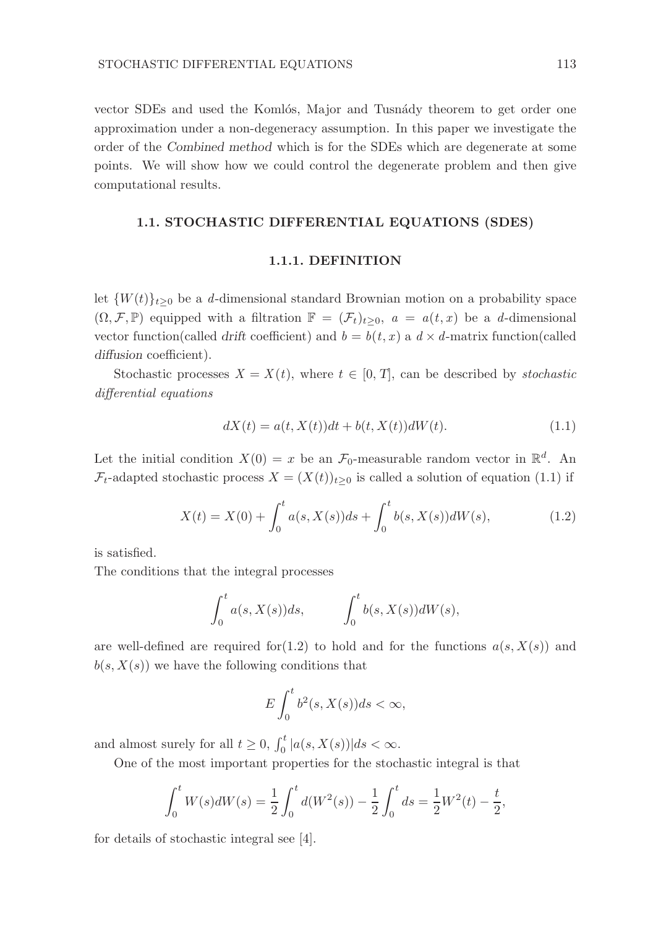vector SDEs and used the Komlós, Major and Tusnády theorem to get order one approximation under a non-degeneracy assumption. In this paper we investigate the order of the Combined method which is for the SDEs which are degenerate at some points. We will show how we could control the degenerate problem and then give computational results.

#### 1.1. STOCHASTIC DIFFERENTIAL EQUATIONS (SDES)

#### 1.1.1. DEFINITION

let  $\{W(t)\}_{t\geq0}$  be a d-dimensional standard Brownian motion on a probability space  $(\Omega, \mathcal{F}, \mathbb{P})$  equipped with a filtration  $\mathbb{F} = (\mathcal{F}_t)_{t \geq 0}$ ,  $a = a(t, x)$  be a d-dimensional vector function(called drift coefficient) and  $b = b(t, x)$  a  $d \times d$ -matrix function(called diffusion coefficient).

Stochastic processes  $X = X(t)$ , where  $t \in [0, T]$ , can be described by *stochastic* differential equations

$$
dX(t) = a(t, X(t))dt + b(t, X(t))dW(t).
$$
\n(1.1)

Let the initial condition  $X(0) = x$  be an  $\mathcal{F}_0$ -measurable random vector in  $\mathbb{R}^d$ . An  $\mathcal{F}_t$ -adapted stochastic process  $X = (X(t))_{t>0}$  is called a solution of equation (1.1) if

$$
X(t) = X(0) + \int_0^t a(s, X(s))ds + \int_0^t b(s, X(s))dW(s), \tag{1.2}
$$

is satisfied.

The conditions that the integral processes

$$
\int_0^t a(s, X(s))ds, \qquad \int_0^t b(s, X(s))dW(s),
$$

are well-defined are required for (1.2) to hold and for the functions  $a(s, X(s))$  and  $b(s, X(s))$  we have the following conditions that

$$
E\int_0^t b^2(s,X(s))ds < \infty,
$$

and almost surely for all  $t \geq 0$ ,  $\int_0^t |a(s,X(s))|ds < \infty$ .

One of the most important properties for the stochastic integral is that

$$
\int_0^t W(s)dW(s) = \frac{1}{2} \int_0^t d(W^2(s)) - \frac{1}{2} \int_0^t ds = \frac{1}{2}W^2(t) - \frac{t}{2},
$$

for details of stochastic integral see [4].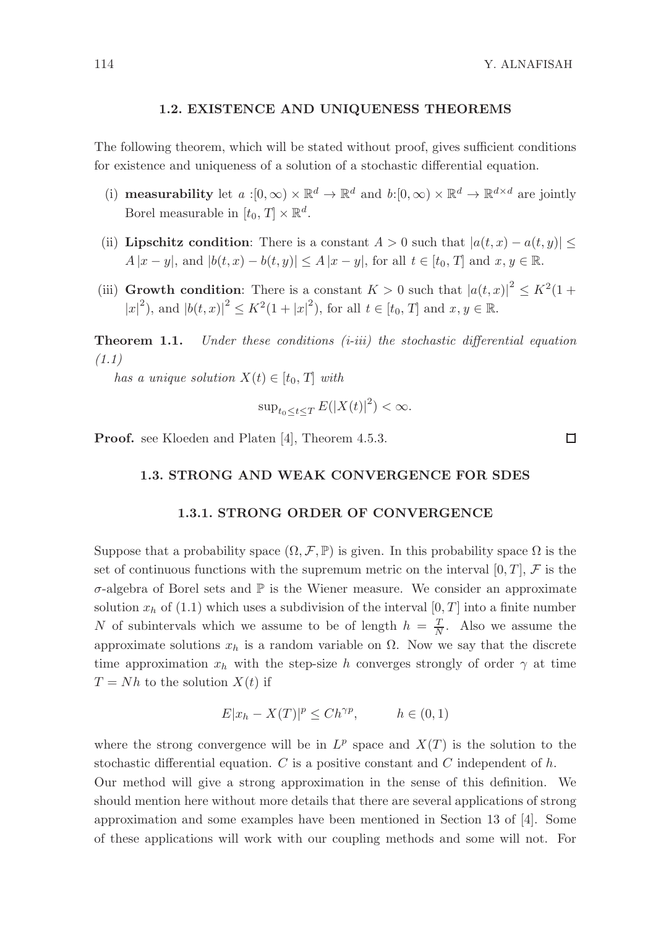#### 1.2. EXISTENCE AND UNIQUENESS THEOREMS

The following theorem, which will be stated without proof, gives sufficient conditions for existence and uniqueness of a solution of a stochastic differential equation.

- (i) **measurability** let  $a:[0,\infty)\times\mathbb{R}^d\to\mathbb{R}^d$  and  $b:[0,\infty)\times\mathbb{R}^d\to\mathbb{R}^{d\times d}$  are jointly Borel measurable in  $[t_0, T] \times \mathbb{R}^d$ .
- (ii) Lipschitz condition: There is a constant  $A > 0$  such that  $|a(t, x) a(t, y)| \leq$  $A |x - y|$ , and  $|b(t, x) - b(t, y)| \leq A |x - y|$ , for all  $t \in [t_0, T]$  and  $x, y \in \mathbb{R}$ .
- (iii) Growth condition: There is a constant  $K > 0$  such that  $|a(t,x)|^2 \leq K^2(1 +$  $|x|^2$ ), and  $|b(t, x)|^2 \le K^2(1+|x|^2)$ , for all  $t \in [t_0, T]$  and  $x, y \in \mathbb{R}$ .

**Theorem 1.1.** Under these conditions  $(i-iii)$  the stochastic differential equation (1.1)

has a unique solution  $X(t) \in [t_0, T]$  with

$$
\sup_{t_0 \le t \le T} E(|X(t)|^2) < \infty.
$$

Proof. see Kloeden and Platen [4], Theorem 4.5.3.

#### 1.3. STRONG AND WEAK CONVERGENCE FOR SDES

#### 1.3.1. STRONG ORDER OF CONVERGENCE

Suppose that a probability space  $(\Omega, \mathcal{F}, \mathbb{P})$  is given. In this probability space  $\Omega$  is the set of continuous functions with the supremum metric on the interval  $[0, T]$ , F is the  $\sigma$ -algebra of Borel sets and  $\mathbb P$  is the Wiener measure. We consider an approximate solution  $x_h$  of (1.1) which uses a subdivision of the interval [0, T] into a finite number N of subintervals which we assume to be of length  $h = \frac{T}{N}$ . Also we assume the approximate solutions  $x_h$  is a random variable on  $\Omega$ . Now we say that the discrete time approximation  $x_h$  with the step-size h converges strongly of order  $\gamma$  at time  $T = Nh$  to the solution  $X(t)$  if

$$
E|x_h - X(T)|^p \le Ch^{\gamma p}, \qquad h \in (0, 1)
$$

where the strong convergence will be in  $L^p$  space and  $X(T)$  is the solution to the stochastic differential equation. C is a positive constant and C independent of h. Our method will give a strong approximation in the sense of this definition. We should mention here without more details that there are several applications of strong

approximation and some examples have been mentioned in Section 13 of [4]. Some of these applications will work with our coupling methods and some will not. For

 $\Box$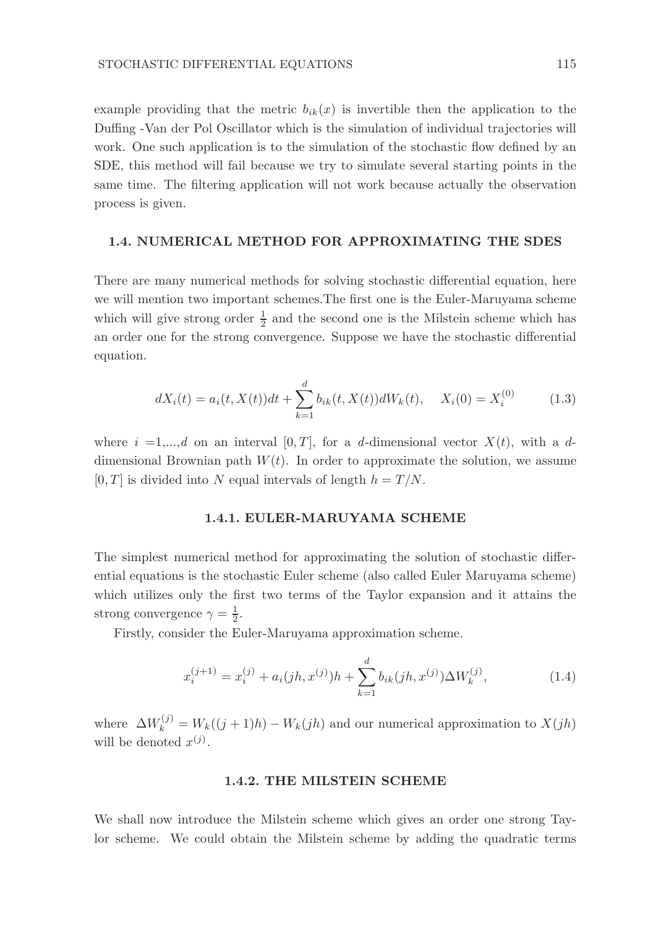example providing that the metric  $b_{ik}(x)$  is invertible then the application to the Duffing -Van der Pol Oscillator which is the simulation of individual trajectories will work. One such application is to the simulation of the stochastic flow defined by an SDE, this method will fail because we try to simulate several starting points in the same time. The filtering application will not work because actually the observation process is given.

#### 1.4. NUMERICAL METHOD FOR APPROXIMATING THE SDES

There are many numerical methods for solving stochastic differential equation, here we will mention two important schemes.The first one is the Euler-Maruyama scheme which will give strong order  $\frac{1}{2}$  and the second one is the Milstein scheme which has an order one for the strong convergence. Suppose we have the stochastic differential equation.

$$
dX_i(t) = a_i(t, X(t))dt + \sum_{k=1}^d b_{ik}(t, X(t))dW_k(t), \quad X_i(0) = X_i^{(0)} \tag{1.3}
$$

where  $i =1,...,d$  on an interval  $[0, T]$ , for a d-dimensional vector  $X(t)$ , with a ddimensional Brownian path  $W(t)$ . In order to approximate the solution, we assume  $[0, T]$  is divided into N equal intervals of length  $h = T/N$ .

#### 1.4.1. EULER-MARUYAMA SCHEME

The simplest numerical method for approximating the solution of stochastic differential equations is the stochastic Euler scheme (also called Euler Maruyama scheme) which utilizes only the first two terms of the Taylor expansion and it attains the strong convergence  $\gamma = \frac{1}{2}$ .

Firstly, consider the Euler-Maruyama approximation scheme.

$$
x_i^{(j+1)} = x_i^{(j)} + a_i(jh, x^{(j)})h + \sum_{k=1}^d b_{ik}(jh, x^{(j)})\Delta W_k^{(j)},
$$
\n(1.4)

where  $\Delta W_k^{(j)} = W_k((j+1)h) - W_k(jh)$  and our numerical approximation to  $X(jh)$ will be denoted  $x^{(j)}$ .

#### 1.4.2. THE MILSTEIN SCHEME

We shall now introduce the Milstein scheme which gives an order one strong Taylor scheme. We could obtain the Milstein scheme by adding the quadratic terms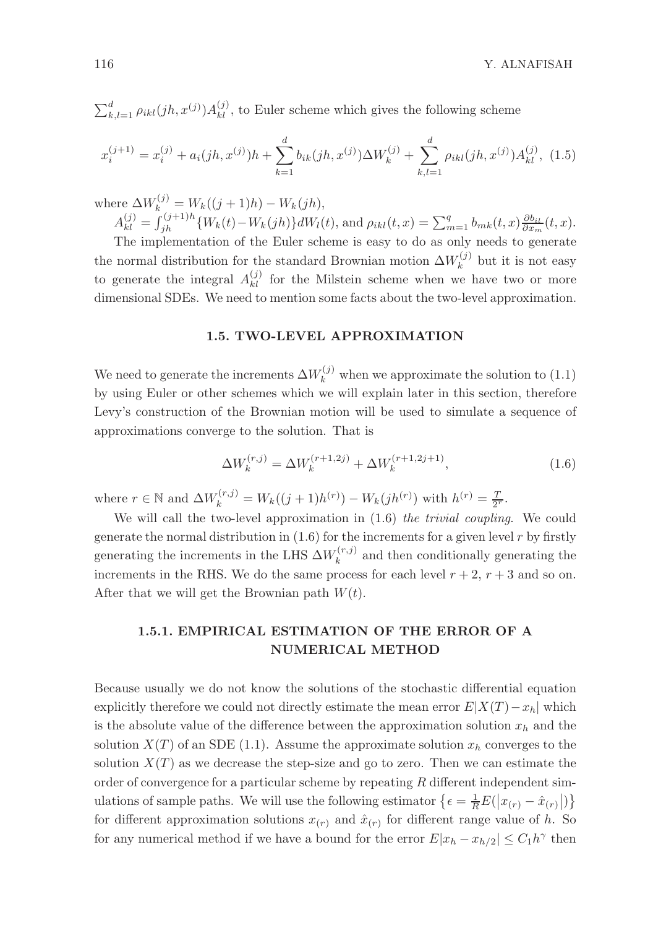$\sum_{k,l=1}^d \rho_{ikl}(jh, x^{(j)}) A^{(j)}_{kl}$ , to Euler scheme which gives the following scheme

$$
x_i^{(j+1)} = x_i^{(j)} + a_i(jh, x^{(j)})h + \sum_{k=1}^d b_{ik}(jh, x^{(j)})\Delta W_k^{(j)} + \sum_{k,l=1}^d \rho_{ikl}(jh, x^{(j)})A_{kl}^{(j)}, \tag{1.5}
$$

where  $\Delta W_k^{(j)} = W_k((j + 1)h) - W_k(jh),$  $A_{kl}^{(j)} = \int_{jh}^{(j+1)h} \{W_k(t) - W_k(jh)\} dW_l(t)$ , and  $\rho_{ikl}(t, x) = \sum_{m=1}^q b_{mk}(t, x) \frac{\partial b_{il}}{\partial x_m}(t, x)$ .

The implementation of the Euler scheme is easy to do as only needs to generate the normal distribution for the standard Brownian motion  $\Delta W_k^{(j)}$  $\kappa^{(J)}$  but it is not easy to generate the integral  $A_{kl}^{(j)}$  for the Milstein scheme when we have two or more dimensional SDEs. We need to mention some facts about the two-level approximation.

#### 1.5. TWO-LEVEL APPROXIMATION

We need to generate the increments  $\Delta W_k^{(j)}$  when we approximate the solution to (1.1) by using Euler or other schemes which we will explain later in this section, therefore Levy's construction of the Brownian motion will be used to simulate a sequence of approximations converge to the solution. That is

$$
\Delta W_k^{(r,j)} = \Delta W_k^{(r+1,2j)} + \Delta W_k^{(r+1,2j+1)},\tag{1.6}
$$

where  $r \in \mathbb{N}$  and  $\Delta W_k^{(r,j)} = W_k((j+1)h^{(r)}) - W_k(jh^{(r)})$  with  $h^{(r)} = \frac{T}{2^r}$ .

We will call the two-level approximation in  $(1.6)$  the trivial coupling. We could generate the normal distribution in  $(1.6)$  for the increments for a given level r by firstly generating the increments in the LHS  $\Delta W_k^{(r,j)}$  $k^{(r,j)}$  and then conditionally generating the increments in the RHS. We do the same process for each level  $r + 2$ ,  $r + 3$  and so on. After that we will get the Brownian path  $W(t)$ .

## 1.5.1. EMPIRICAL ESTIMATION OF THE ERROR OF A NUMERICAL METHOD

Because usually we do not know the solutions of the stochastic differential equation explicitly therefore we could not directly estimate the mean error  $E|X(T) - x_h|$  which is the absolute value of the difference between the approximation solution  $x_h$  and the solution  $X(T)$  of an SDE (1.1). Assume the approximate solution  $x<sub>h</sub>$  converges to the solution  $X(T)$  as we decrease the step-size and go to zero. Then we can estimate the order of convergence for a particular scheme by repeating R different independent simulations of sample paths. We will use the following estimator  $\{\epsilon = \frac{1}{R}E(|x_{(r)} - \hat{x}_{(r)}|)\}$ for different approximation solutions  $x_{(r)}$  and  $\hat{x}_{(r)}$  for different range value of h. So for any numerical method if we have a bound for the error  $E|x_h - x_{h/2}| \leq C_1 h^{\gamma}$  then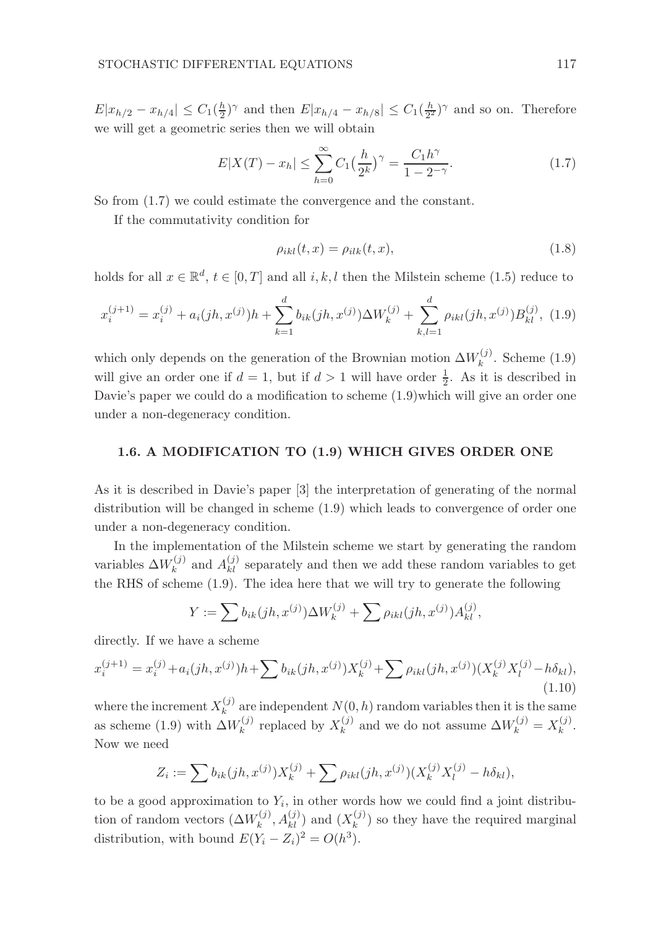$E|x_{h/2} - x_{h/4}| \leq C_1(\frac{h}{2})^{\gamma}$  and then  $E|x_{h/4} - x_{h/8}| \leq C_1(\frac{h}{2^2})^{\gamma}$  and so on. Therefore we will get a geometric series then we will obtain

$$
E|X(T) - x_h| \le \sum_{h=0}^{\infty} C_1 \left(\frac{h}{2^k}\right)^{\gamma} = \frac{C_1 h^{\gamma}}{1 - 2^{-\gamma}}.
$$
 (1.7)

So from (1.7) we could estimate the convergence and the constant.

If the commutativity condition for

$$
\rho_{ikl}(t,x) = \rho_{ilk}(t,x),\tag{1.8}
$$

holds for all  $x \in \mathbb{R}^d$ ,  $t \in [0, T]$  and all  $i, k, l$  then the Milstein scheme (1.5) reduce to

$$
x_i^{(j+1)} = x_i^{(j)} + a_i(jh, x^{(j)})h + \sum_{k=1}^d b_{ik}(jh, x^{(j)})\Delta W_k^{(j)} + \sum_{k,l=1}^d \rho_{ikl}(jh, x^{(j)})B_{kl}^{(j)}, (1.9)
$$

which only depends on the generation of the Brownian motion  $\Delta W_k^{(j)}$  $k^{(j)}$ . Scheme  $(1.9)$ will give an order one if  $d = 1$ , but if  $d > 1$  will have order  $\frac{1}{2}$ . As it is described in Davie's paper we could do a modification to scheme (1.9)which will give an order one under a non-degeneracy condition.

#### 1.6. A MODIFICATION TO (1.9) WHICH GIVES ORDER ONE

As it is described in Davie's paper [3] the interpretation of generating of the normal distribution will be changed in scheme (1.9) which leads to convergence of order one under a non-degeneracy condition.

In the implementation of the Milstein scheme we start by generating the random variables  $\Delta W_k^{(j)}$  $k_k^{(j)}$  and  $A_{kl}^{(j)}$  separately and then we add these random variables to get the RHS of scheme (1.9). The idea here that we will try to generate the following

$$
Y := \sum b_{ik}(jh, x^{(j)}) \Delta W_k^{(j)} + \sum \rho_{ikl}(jh, x^{(j)}) A_{kl}^{(j)},
$$

directly. If we have a scheme

$$
x_i^{(j+1)} = x_i^{(j)} + a_i(jh, x^{(j)})h + \sum b_{ik}(jh, x^{(j)})X_k^{(j)} + \sum \rho_{ikl}(jh, x^{(j)})(X_k^{(j)}X_l^{(j)} - h\delta_{kl}),
$$
\n(1.10)

where the increment  $X_k^{(j)}$  $\binom{0}{k}$  are independent  $N(0, h)$  random variables then it is the same as scheme (1.9) with  $\Delta W_k^{(j)}$  $x_k^{(j)}$  replaced by  $X_k^{(j)}$  $\lambda_k^{(j)}$  and we do not assume  $\Delta W_k^{(j)} = X_k^{(j)}$  $\frac{(J)}{k}$ . Now we need

$$
Z_i := \sum b_{ik}(jh, x^{(j)})X_k^{(j)} + \sum \rho_{ikl}(jh, x^{(j)})(X_k^{(j)}X_l^{(j)} - h\delta_{kl}),
$$

to be a good approximation to  $Y_i$ , in other words how we could find a joint distribution of random vectors  $(\Delta W_k^{(j)})$  $(x_k^{(j)}, A_{kl}^{(j)})$  and  $(X_k^{(j)})$  $\binom{f^{(j)}}{k}$  so they have the required marginal distribution, with bound  $E(Y_i - Z_i)^2 = O(h^3)$ .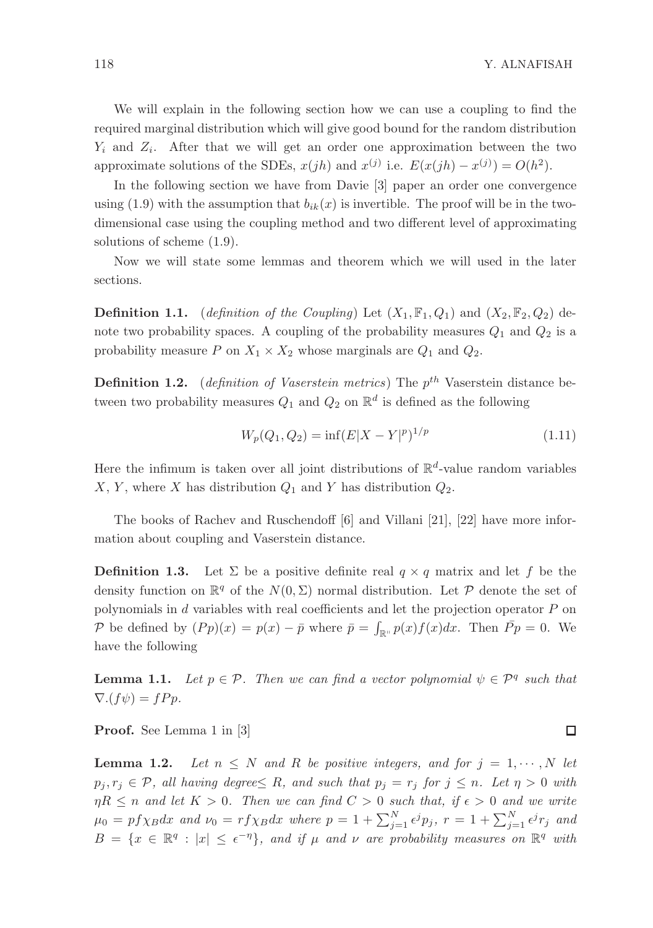We will explain in the following section how we can use a coupling to find the required marginal distribution which will give good bound for the random distribution  $Y_i$  and  $Z_i$ . After that we will get an order one approximation between the two approximate solutions of the SDEs,  $x(jh)$  and  $x^{(j)}$  i.e.  $E(x(jh) - x^{(j)}) = O(h^2)$ .

In the following section we have from Davie [3] paper an order one convergence using (1.9) with the assumption that  $b_{ik}(x)$  is invertible. The proof will be in the twodimensional case using the coupling method and two different level of approximating solutions of scheme (1.9).

Now we will state some lemmas and theorem which we will used in the later sections.

**Definition 1.1.** (definition of the Coupling) Let  $(X_1, \mathbb{F}_1, Q_1)$  and  $(X_2, \mathbb{F}_2, Q_2)$  denote two probability spaces. A coupling of the probability measures  $Q_1$  and  $Q_2$  is a probability measure P on  $X_1 \times X_2$  whose marginals are  $Q_1$  and  $Q_2$ .

**Definition 1.2.** (*definition of Vaserstein metrics*) The  $p^{th}$  Vaserstein distance between two probability measures  $Q_1$  and  $Q_2$  on  $\mathbb{R}^d$  is defined as the following

$$
W_p(Q_1, Q_2) = \inf (E|X - Y|^p)^{1/p}
$$
\n(1.11)

Here the infimum is taken over all joint distributions of  $\mathbb{R}^d$ -value random variables X, Y, where X has distribution  $Q_1$  and Y has distribution  $Q_2$ .

The books of Rachev and Ruschendoff [6] and Villani [21], [22] have more information about coupling and Vaserstein distance.

**Definition 1.3.** Let  $\Sigma$  be a positive definite real  $q \times q$  matrix and let f be the density function on  $\mathbb{R}^q$  of the  $N(0, \Sigma)$  normal distribution. Let  $P$  denote the set of polynomials in d variables with real coefficients and let the projection operator P on P be defined by  $(Pp)(x) = p(x) - \bar{p}$  where  $\bar{p} = \int_{\mathbb{R}^n} p(x)f(x)dx$ . Then  $\bar{P}p = 0$ . We have the following

**Lemma 1.1.** Let  $p \in \mathcal{P}$ . Then we can find a vector polynomial  $\psi \in \mathcal{P}^q$  such that  $\nabla.(f\psi) = fPp.$ 

Proof. See Lemma 1 in [3]

**Lemma 1.2.** Let  $n \leq N$  and R be positive integers, and for  $j = 1, \dots, N$  let  $p_j, r_j \in \mathcal{P}$ , all having degree  $\leq R$ , and such that  $p_j = r_j$  for  $j \leq n$ . Let  $\eta > 0$  with  $\eta R \leq n$  and let  $K > 0$ . Then we can find  $C > 0$  such that, if  $\epsilon > 0$  and we write  $\mu_0 = pf\chi_B dx$  and  $\nu_0 = rf\chi_B dx$  where  $p = 1 + \sum_{j=1}^N \epsilon^j p_j$ ,  $r = 1 + \sum_{j=1}^N \epsilon^j r_j$  and  $B = \{x \in \mathbb{R}^q : |x| \leq \epsilon^{-\eta}\}\$ , and if  $\mu$  and  $\nu$  are probability measures on  $\mathbb{R}^q$  with

□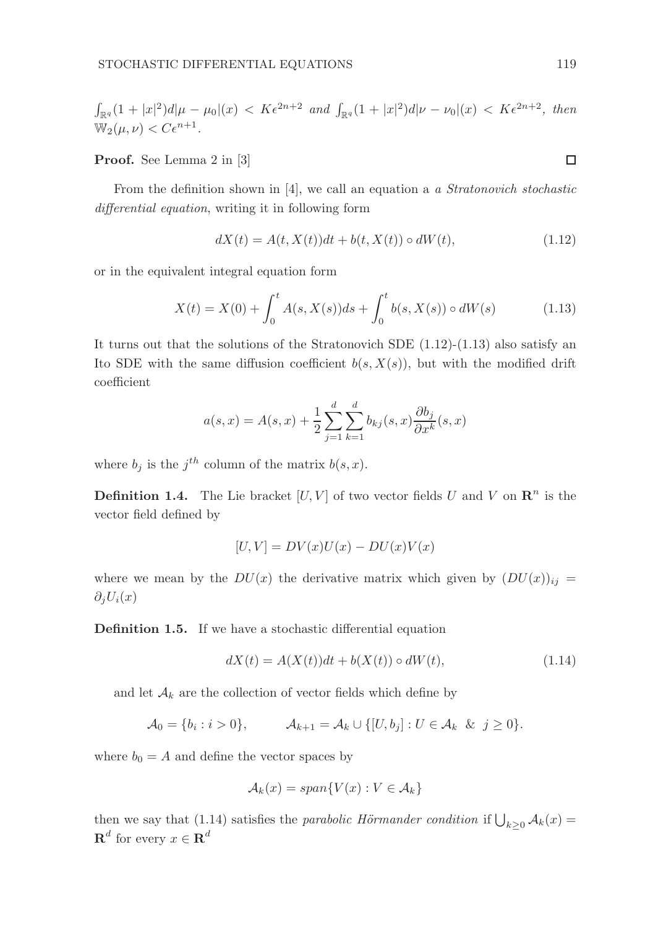$$
\int_{\mathbb{R}^q} (1+|x|^2) d|\mu - \mu_0|(x) < K\epsilon^{2n+2} \text{ and } \int_{\mathbb{R}^q} (1+|x|^2) d|\nu - \nu_0|(x) < K\epsilon^{2n+2}, \text{ then}
$$
\n
$$
\mathbb{W}_2(\mu, \nu) < C\epsilon^{n+1}.
$$

Proof. See Lemma 2 in [3]

From the definition shown in  $[4]$ , we call an equation a a Stratonovich stochastic differential equation, writing it in following form

$$
dX(t) = A(t, X(t))dt + b(t, X(t)) \circ dW(t),
$$
\n(1.12)

or in the equivalent integral equation form

$$
X(t) = X(0) + \int_0^t A(s, X(s))ds + \int_0^t b(s, X(s)) \circ dW(s)
$$
 (1.13)

It turns out that the solutions of the Stratonovich SDE  $(1.12)-(1.13)$  also satisfy an Ito SDE with the same diffusion coefficient  $b(s, X(s))$ , but with the modified drift coefficient

$$
a(s,x) = A(s,x) + \frac{1}{2} \sum_{j=1}^{d} \sum_{k=1}^{d} b_{kj}(s,x) \frac{\partial b_j}{\partial x^k}(s,x)
$$

where  $b_j$  is the  $j^{th}$  column of the matrix  $b(s, x)$ .

**Definition 1.4.** The Lie bracket  $[U, V]$  of two vector fields U and V on  $\mathbb{R}^n$  is the vector field defined by

$$
[U, V] = DV(x)U(x) - DU(x)V(x)
$$

where we mean by the  $DU(x)$  the derivative matrix which given by  $(DU(x))_{ij} =$  $\partial_i U_i(x)$ 

Definition 1.5. If we have a stochastic differential equation

$$
dX(t) = A(X(t))dt + b(X(t)) \circ dW(t),
$$
\n(1.14)

and let  $A_k$  are the collection of vector fields which define by

$$
\mathcal{A}_0 = \{b_i : i > 0\}, \qquad \mathcal{A}_{k+1} = \mathcal{A}_k \cup \{[U, b_j] : U \in \mathcal{A}_k \& j \ge 0\}.
$$

where  $b_0 = A$  and define the vector spaces by

$$
\mathcal{A}_k(x) = span\{V(x) : V \in \mathcal{A}_k\}
$$

then we say that (1.14) satisfies the *parabolic Hörmander condition* if  $\bigcup_{k\geq 0} A_k(x) =$  $\mathbf{R}^d$  for every  $x \in \mathbf{R}^d$ 

 $\Box$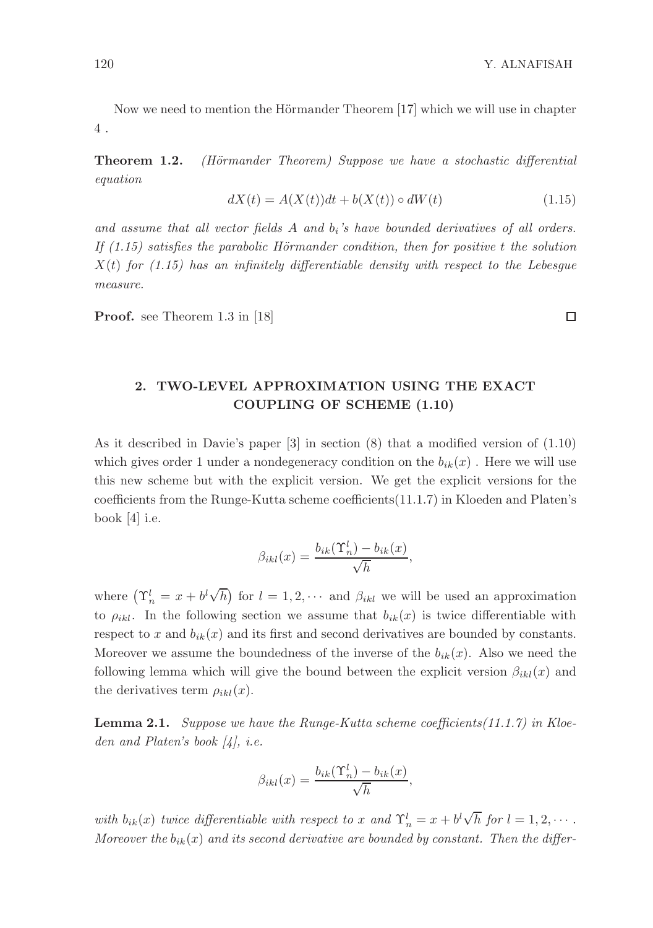Now we need to mention the Hörmander Theorem  $[17]$  which we will use in chapter 4 .

**Theorem 1.2.** (Hörmander Theorem) Suppose we have a stochastic differential equation

$$
dX(t) = A(X(t))dt + b(X(t)) \circ dW(t)
$$
\n(1.15)

and assume that all vector fields  $A$  and  $b_i$ 's have bounded derivatives of all orders. If  $(1.15)$  satisfies the parabolic Hörmander condition, then for positive t the solution  $X(t)$  for (1.15) has an infinitely differentiable density with respect to the Lebesgue measure.

Proof. see Theorem 1.3 in [18]

## 2. TWO-LEVEL APPROXIMATION USING THE EXACT COUPLING OF SCHEME (1.10)

As it described in Davie's paper [3] in section (8) that a modified version of (1.10) which gives order 1 under a nondegeneracy condition on the  $b_{ik}(x)$ . Here we will use this new scheme but with the explicit version. We get the explicit versions for the coefficients from the Runge-Kutta scheme coefficients(11.1.7) in Kloeden and Platen's book [4] i.e.

$$
\beta_{ikl}(x) = \frac{b_{ik}(\Upsilon_n^l) - b_{ik}(x)}{\sqrt{h}},
$$

where  $(\Upsilon_n^l = x + b^l \sqrt{h})$  for  $l = 1, 2, \cdots$  and  $\beta_{ikl}$  we will be used an approximation to  $\rho_{ikl}$ . In the following section we assume that  $b_{ik}(x)$  is twice differentiable with respect to x and  $b_{ik}(x)$  and its first and second derivatives are bounded by constants. Moreover we assume the boundedness of the inverse of the  $b_{ik}(x)$ . Also we need the following lemma which will give the bound between the explicit version  $\beta_{ikl}(x)$  and the derivatives term  $\rho_{ikl}(x)$ .

**Lemma 2.1.** Suppose we have the Runge-Kutta scheme coefficients $(11.1.7)$  in Kloeden and Platen's book [4], i.e.

$$
\beta_{ikl}(x) = \frac{b_{ik}(\Upsilon_n^l) - b_{ik}(x)}{\sqrt{h}},
$$

with  $b_{ik}(x)$  twice differentiable with respect to x and  $\Upsilon_n^l = x + b^l \sqrt{h}$  for  $l = 1, 2, \cdots$ . Moreover the  $b_{ik}(x)$  and its second derivative are bounded by constant. Then the differ-

 $\Box$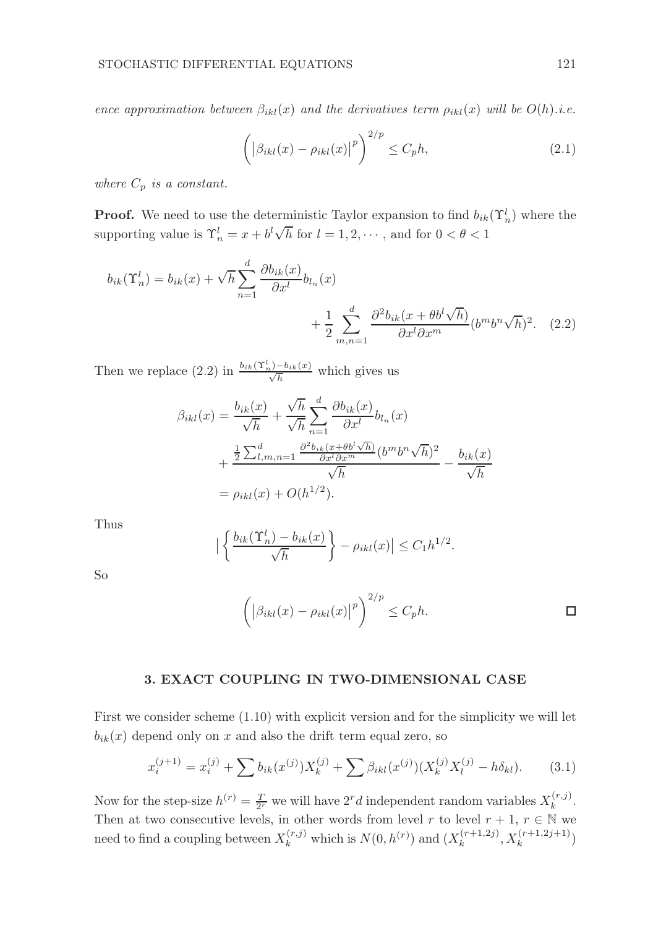ence approximation between  $\beta_{ikl}(x)$  and the derivatives term  $\rho_{ikl}(x)$  will be  $O(h)$ .i.e.

$$
\left( \left| \beta_{ikl}(x) - \rho_{ikl}(x) \right|^p \right)^{2/p} \le C_p h,
$$
\n(2.1)

where  $C_p$  is a constant.

**Proof.** We need to use the deterministic Taylor expansion to find  $b_{ik}(\Upsilon_n^l)$  where the supporting value is  $\Upsilon_n^l = x + b^l \sqrt{h}$  for  $l = 1, 2, \cdots$ , and for  $0 < \theta < 1$ 

$$
b_{ik}(\Upsilon_n^l) = b_{ik}(x) + \sqrt{h} \sum_{n=1}^d \frac{\partial b_{ik}(x)}{\partial x^l} b_{l_n}(x) + \frac{1}{2} \sum_{m,n=1}^d \frac{\partial^2 b_{ik}(x + \theta b^l \sqrt{h})}{\partial x^l \partial x^m} (b^m b^n \sqrt{h})^2.
$$
 (2.2)

Then we replace (2.2) in  $\frac{b_{ik}(\Upsilon_n^l)-b_{ik}(x)}{\sqrt{h}}$  which gives us

$$
\beta_{ikl}(x) = \frac{b_{ik}(x)}{\sqrt{h}} + \frac{\sqrt{h}}{\sqrt{h}} \sum_{n=1}^d \frac{\partial b_{ik}(x)}{\partial x^l} b_{l_n}(x)
$$
  
+ 
$$
\frac{\frac{1}{2} \sum_{l,m,n=1}^d \frac{\partial^2 b_{ik}(x + \theta b^l \sqrt{h})}{\partial x^l \partial x^m} (b^m b^n \sqrt{h})^2}{\sqrt{h}} - \frac{b_{ik}(x)}{\sqrt{h}}
$$
  
= 
$$
\rho_{ikl}(x) + O(h^{1/2}).
$$

Thus

$$
\left| \left\{ \frac{b_{ik}(\Upsilon_n^l) - b_{ik}(x)}{\sqrt{h}} \right\} - \rho_{ikl}(x) \right| \le C_1 h^{1/2}.
$$

So

$$
\left( \left| \beta_{ikl}(x) - \rho_{ikl}(x) \right|^p \right)^{2/p} \le C_p h.
$$

#### 3. EXACT COUPLING IN TWO-DIMENSIONAL CASE

First we consider scheme (1.10) with explicit version and for the simplicity we will let  $b_{ik}(x)$  depend only on x and also the drift term equal zero, so

$$
x_i^{(j+1)} = x_i^{(j)} + \sum b_{ik}(x^{(j)})X_k^{(j)} + \sum \beta_{ikl}(x^{(j)})(X_k^{(j)}X_l^{(j)} - h\delta_{kl}).
$$
 (3.1)

Now for the step-size  $h^{(r)} = \frac{T}{2^r}$  we will have  $2^r d$  independent random variables  $X_k^{(r,j)}$  $\frac{(r,j)}{k}$ . Then at two consecutive levels, in other words from level r to level  $r + 1$ ,  $r \in \mathbb{N}$  we need to find a coupling between  $X_k^{(r,j)}$  which is  $N(0, h^{(r)})$  and  $(X_k^{(r+1,2j)})$  $x_k^{(r+1,2j)}, X_k^{(r+1,2j+1)})$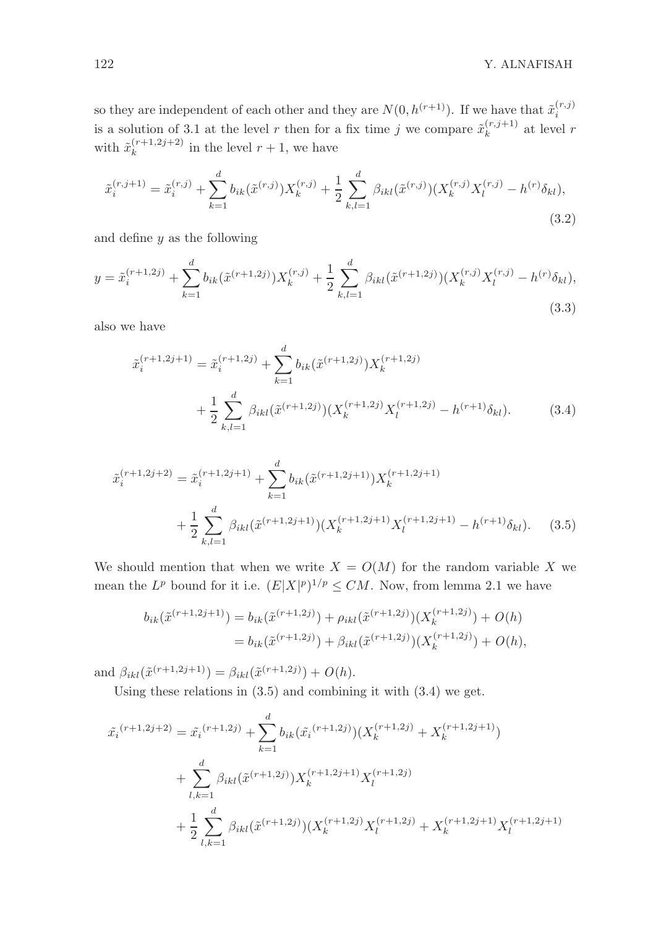so they are independent of each other and they are  $N(0, h^{(r+1)})$ . If we have that  $\tilde{x}_i^{(r,j)}$ i is a solution of 3.1 at the level r then for a fix time j we compare  $\tilde{x}_{k}^{(r,j+1)}$  $k^{(r, j+1)}$  at level r with  $\tilde{x}_k^{(r+1,2j+2)}$  $\binom{r+1,2j+2}{k}$  in the level  $r+1$ , we have

$$
\tilde{x}_{i}^{(r,j+1)} = \tilde{x}_{i}^{(r,j)} + \sum_{k=1}^{d} b_{ik}(\tilde{x}^{(r,j)})X_{k}^{(r,j)} + \frac{1}{2} \sum_{k,l=1}^{d} \beta_{ikl}(\tilde{x}^{(r,j)})(X_{k}^{(r,j)}X_{l}^{(r,j)} - h^{(r)}\delta_{kl}),
$$
\n(3.2)

and define  $y$  as the following

$$
y = \tilde{x}_i^{(r+1,2j)} + \sum_{k=1}^d b_{ik}(\tilde{x}^{(r+1,2j)})X_k^{(r,j)} + \frac{1}{2} \sum_{k,l=1}^d \beta_{ikl}(\tilde{x}^{(r+1,2j)})(X_k^{(r,j)}X_l^{(r,j)} - h^{(r)}\delta_{kl}),
$$
\n(3.3)

also we have

$$
\tilde{x}_{i}^{(r+1,2j+1)} = \tilde{x}_{i}^{(r+1,2j)} + \sum_{k=1}^{d} b_{ik} (\tilde{x}^{(r+1,2j)}) X_{k}^{(r+1,2j)} + \frac{1}{2} \sum_{k,l=1}^{d} \beta_{ikl} (\tilde{x}^{(r+1,2j)}) (X_{k}^{(r+1,2j)} X_{l}^{(r+1,2j)} - h^{(r+1)} \delta_{kl}).
$$
\n(3.4)

$$
\tilde{x}_{i}^{(r+1,2j+2)} = \tilde{x}_{i}^{(r+1,2j+1)} + \sum_{k=1}^{d} b_{ik} (\tilde{x}^{(r+1,2j+1)}) X_{k}^{(r+1,2j+1)} \n+ \frac{1}{2} \sum_{k,l=1}^{d} \beta_{ikl} (\tilde{x}^{(r+1,2j+1)}) (X_{k}^{(r+1,2j+1)} X_{l}^{(r+1,2j+1)} - h^{(r+1)} \delta_{kl}).
$$
\n(3.5)

We should mention that when we write  $X = O(M)$  for the random variable X we mean the  $L^p$  bound for it i.e.  $(E|X|^p)^{1/p} \leq CM$ . Now, from lemma 2.1 we have

$$
b_{ik}(\tilde{x}^{(r+1,2j+1)}) = b_{ik}(\tilde{x}^{(r+1,2j)}) + \rho_{ikl}(\tilde{x}^{(r+1,2j)})(X_k^{(r+1,2j)}) + O(h)
$$
  
= 
$$
b_{ik}(\tilde{x}^{(r+1,2j)}) + \beta_{ikl}(\tilde{x}^{(r+1,2j)})(X_k^{(r+1,2j)}) + O(h),
$$

and  $\beta_{ikl}(\tilde{x}^{(r+1,2j+1)}) = \beta_{ikl}(\tilde{x}^{(r+1,2j)}) + O(h).$ 

Using these relations in (3.5) and combining it with (3.4) we get.

$$
\tilde{x}_{i}^{(r+1,2j+2)} = \tilde{x}_{i}^{(r+1,2j)} + \sum_{k=1}^{d} b_{ik} (\tilde{x}_{i}^{(r+1,2j)}) (X_{k}^{(r+1,2j)} + X_{k}^{(r+1,2j+1)}) \n+ \sum_{l,k=1}^{d} \beta_{ikl} (\tilde{x}^{(r+1,2j)}) X_{k}^{(r+1,2j+1)} X_{l}^{(r+1,2j)} \n+ \frac{1}{2} \sum_{l,k=1}^{d} \beta_{ikl} (\tilde{x}^{(r+1,2j)}) (X_{k}^{(r+1,2j)} X_{l}^{(r+1,2j)} + X_{k}^{(r+1,2j+1)} X_{l}^{(r+1,2j+1)})
$$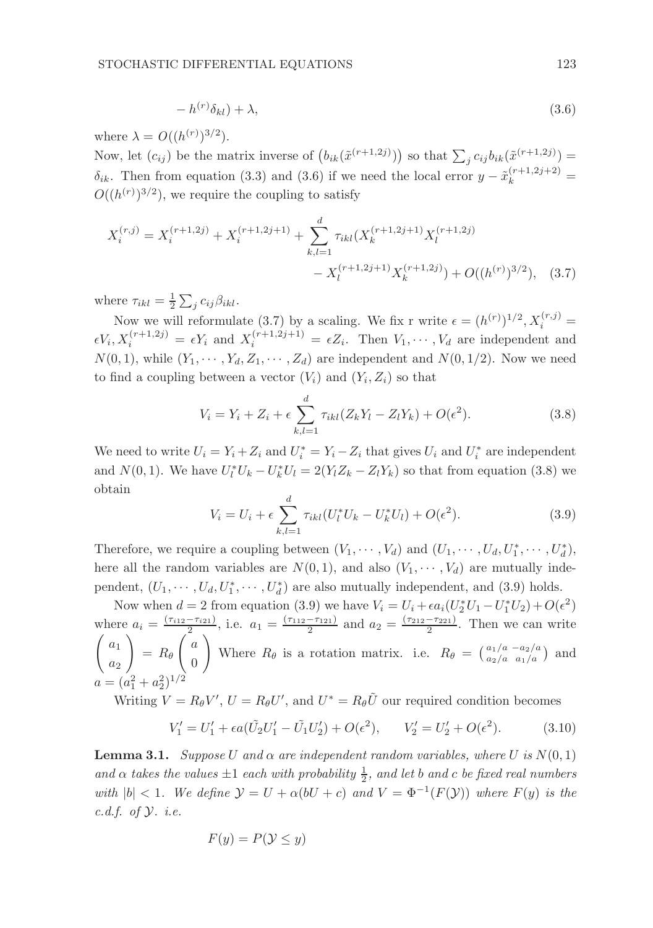$$
-h^{(r)}\delta_{kl}) + \lambda,\tag{3.6}
$$

where  $\lambda = O((h^{(r)})^{3/2})$ .

Now, let  $(c_{ij})$  be the matrix inverse of  $(b_{ik}(\tilde{x}^{(r+1,2j)}))$  so that  $\sum_j c_{ij}b_{ik}(\tilde{x}^{(r+1,2j)})$  =  $\delta_{ik}$ . Then from equation (3.3) and (3.6) if we need the local error  $y - \tilde{x}_k^{(r+1,2j+2)} =$  $O((h^{(r)})^{3/2})$ , we require the coupling to satisfy

$$
X_i^{(r,j)} = X_i^{(r+1,2j)} + X_i^{(r+1,2j+1)} + \sum_{k,l=1}^d \tau_{ikl}(X_k^{(r+1,2j+1)} X_l^{(r+1,2j)} - X_l^{(r+1,2j+1)} X_k^{(r+1,2j)}) + O((h^{(r)})^{3/2}), \quad (3.7)
$$

where  $\tau_{ikl} = \frac{1}{2} \sum_j c_{ij} \beta_{ikl}$ .

Now we will reformulate (3.7) by a scaling. We fix r write  $\epsilon = (h^{(r)})^{1/2}, X_i^{(r,j)} =$  $\epsilon V_i, X_i^{(r+1,2j)} = \epsilon Y_i$  and  $X_i^{(r+1,2j+1)} = \epsilon Z_i$ . Then  $V_1, \dots, V_d$  are independent and  $N(0, 1)$ , while  $(Y_1, \dots, Y_d, Z_1, \dots, Z_d)$  are independent and  $N(0, 1/2)$ . Now we need to find a coupling between a vector  $(V_i)$  and  $(Y_i, Z_i)$  so that

$$
V_i = Y_i + Z_i + \epsilon \sum_{k,l=1}^d \tau_{ikl} (Z_k Y_l - Z_l Y_k) + O(\epsilon^2).
$$
 (3.8)

We need to write  $U_i = Y_i + Z_i$  and  $U_i^* = Y_i - Z_i$  that gives  $U_i$  and  $U_i^*$  are independent and  $N(0, 1)$ . We have  $U_l^*U_k - U_k^*U_l = 2(Y_l Z_k - Z_l Y_k)$  so that from equation (3.8) we obtain

$$
V_i = U_i + \epsilon \sum_{k,l=1}^{d} \tau_{ikl} (U_l^* U_k - U_k^* U_l) + O(\epsilon^2).
$$
 (3.9)

Therefore, we require a coupling between  $(V_1, \dots, V_d)$  and  $(U_1, \dots, U_d, U_1^*, \dots, U_d^*),$ here all the random variables are  $N(0, 1)$ , and also  $(V_1, \dots, V_d)$  are mutually independent,  $(U_1, \dots, U_d, U_1^*, \dots, U_d^*)$  are also mutually independent, and (3.9) holds.

Now when  $d = 2$  from equation (3.9) we have  $V_i = U_i + \epsilon a_i (U_2^* U_1 - U_1^* U_2) + O(\epsilon^2)$ where  $a_i = \frac{(\tau_{i12} - \tau_{i21})}{2}$ , i.e.  $a_1 = \frac{(\tau_{112} - \tau_{121})}{2}$  and  $a_2 = \frac{(\tau_{212} - \tau_{221})}{2}$ . Then we can write  $\int a_1$  $a_2$  $\setminus$  $= R_{\theta}$  $\int a$  $\theta$  $\setminus$ Where  $R_{\theta}$  is a rotation matrix. i.e.  $R_{\theta} = \begin{pmatrix} a_1/a & -a_2/a \\ a_2/a & a_1/a \end{pmatrix}$  and  $a = (a$ 2  $^{2}_{1} + a$ 2 2 ) 1/2

Writing  $V = R_{\theta}V'$ ,  $U = R_{\theta}U'$ , and  $U^* = R_{\theta}\tilde{U}$  our required condition becomes

$$
V_1' = U_1' + \epsilon a (\tilde{U}_2 U_1' - \tilde{U}_1 U_2') + O(\epsilon^2), \qquad V_2' = U_2' + O(\epsilon^2). \tag{3.10}
$$

**Lemma 3.1.** Suppose U and  $\alpha$  are independent random variables, where U is  $N(0, 1)$ and  $\alpha$  takes the values  $\pm 1$  each with probability  $\frac{1}{2}$ , and let b and c be fixed real numbers with  $|b| < 1$ . We define  $\mathcal{Y} = U + \alpha(bU + c)$  and  $V = \Phi^{-1}(F(\mathcal{Y}))$  where  $F(y)$  is the c.d.f. of  $\mathcal{Y}$ . i.e.

$$
F(y) = P(\mathcal{Y} \le y)
$$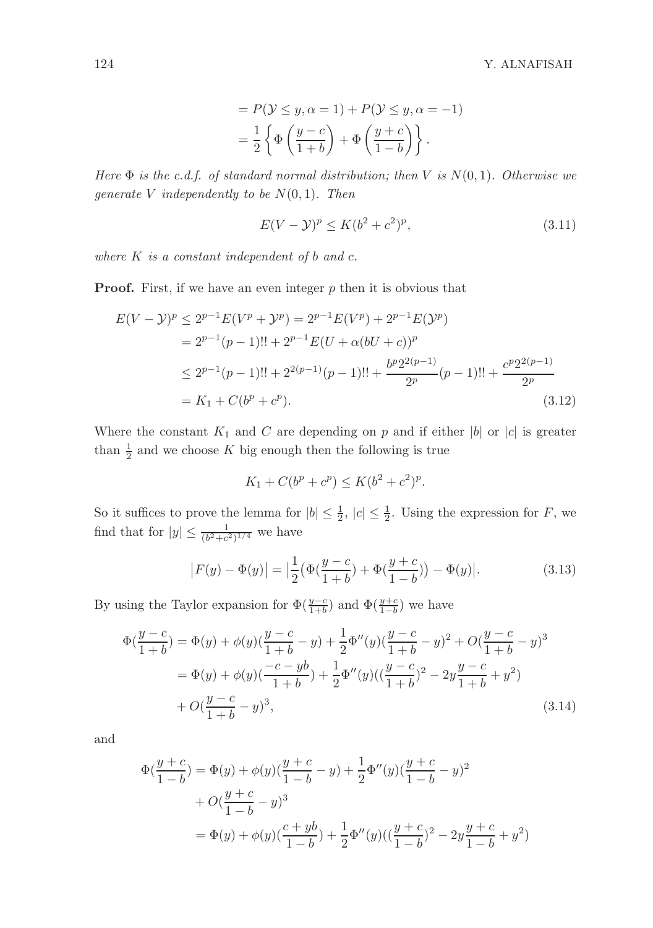$$
= P(\mathcal{Y} \le y, \alpha = 1) + P(\mathcal{Y} \le y, \alpha = -1)
$$

$$
= \frac{1}{2} \left\{ \Phi\left(\frac{y-c}{1+b}\right) + \Phi\left(\frac{y+c}{1-b}\right) \right\}.
$$

Here  $\Phi$  is the c.d.f. of standard normal distribution; then V is  $N(0, 1)$ . Otherwise we generate V independently to be  $N(0, 1)$ . Then

$$
E(V - Y)^p \le K(b^2 + c^2)^p,
$$
\n(3.11)

where  $K$  is a constant independent of  $b$  and  $c$ .

**Proof.** First, if we have an even integer  $p$  then it is obvious that

$$
E(V - Y)^p \le 2^{p-1} E(V^p + Y^p) = 2^{p-1} E(V^p) + 2^{p-1} E(Y^p)
$$
  
=  $2^{p-1}(p-1)!! + 2^{p-1} E(U + \alpha (bU + c))^p$   
 $\le 2^{p-1}(p-1)!! + 2^{2(p-1)}(p-1)!! + \frac{b^p 2^{2(p-1)}}{2^p}(p-1)!! + \frac{c^p 2^{2(p-1)}}{2^p}$   
=  $K_1 + C(b^p + c^p).$  (3.12)

Where the constant  $K_1$  and C are depending on p and if either |b| or |c| is greater than  $\frac{1}{2}$  and we choose K big enough then the following is true

$$
K_1 + C(b^p + c^p) \le K(b^2 + c^2)^p.
$$

So it suffices to prove the lemma for  $|b| \leq \frac{1}{2}$ ,  $|c| \leq \frac{1}{2}$ . Using the expression for F, we find that for  $|y| \leq \frac{1}{(b^2+c^2)^{1/4}}$  we have

$$
|F(y) - \Phi(y)| = \left| \frac{1}{2} \left( \Phi(\frac{y-c}{1+b}) + \Phi(\frac{y+c}{1-b}) \right) - \Phi(y) \right|.
$$
 (3.13)

By using the Taylor expansion for  $\Phi(\frac{y-c}{1+b})$  and  $\Phi(\frac{y+c}{1-b})$  we have

$$
\Phi(\frac{y-c}{1+b}) = \Phi(y) + \phi(y)(\frac{y-c}{1+b} - y) + \frac{1}{2}\Phi''(y)(\frac{y-c}{1+b} - y)^2 + O(\frac{y-c}{1+b} - y)^3
$$
  

$$
= \Phi(y) + \phi(y)(\frac{-c - yb}{1+b}) + \frac{1}{2}\Phi''(y)((\frac{y-c}{1+b})^2 - 2y\frac{y-c}{1+b} + y^2)
$$
  

$$
+ O(\frac{y-c}{1+b} - y)^3,
$$
 (3.14)

and

$$
\Phi(\frac{y+c}{1-b}) = \Phi(y) + \phi(y)(\frac{y+c}{1-b} - y) + \frac{1}{2}\Phi''(y)(\frac{y+c}{1-b} - y)^2
$$
  
+  $O(\frac{y+c}{1-b} - y)^3$   
=  $\Phi(y) + \phi(y)(\frac{c+yb}{1-b}) + \frac{1}{2}\Phi''(y)((\frac{y+c}{1-b})^2 - 2y\frac{y+c}{1-b} + y^2)$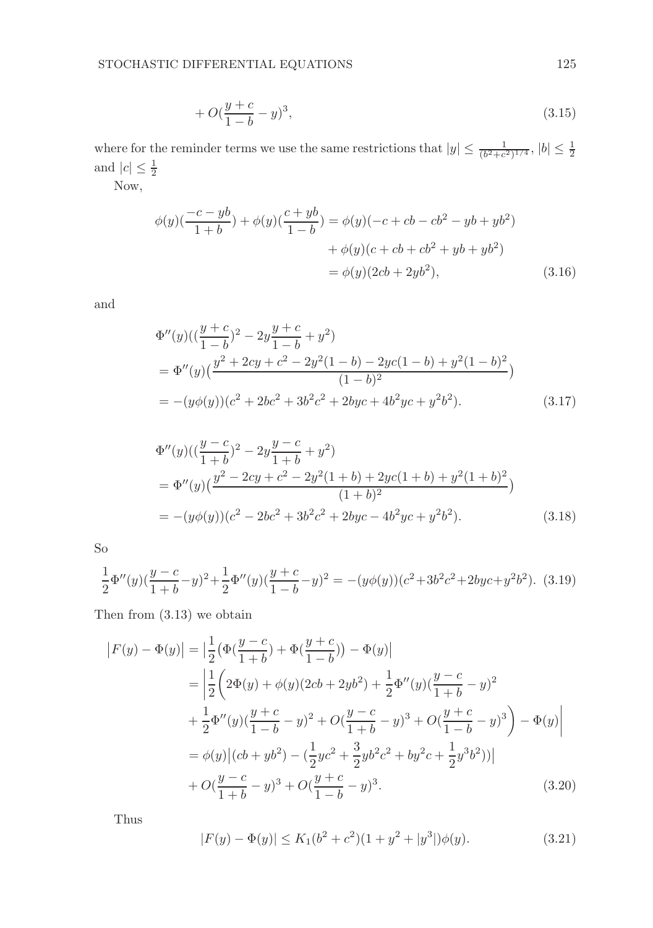$$
+ O(\frac{y+c}{1-b} - y)^3,
$$
\n(3.15)

where for the reminder terms we use the same restrictions that  $|y| \leq \frac{1}{(b^2+c^2)^{1/4}}, |b| \leq \frac{1}{2}$ and  $|c| \leq \frac{1}{2}$ 

Now,

$$
\phi(y)(\frac{-c - yb}{1 + b}) + \phi(y)(\frac{c + yb}{1 - b}) = \phi(y)(-c + cb - cb^2 - yb + yb^2) \n+ \phi(y)(c + cb + cb^2 + yb + yb^2) \n= \phi(y)(2cb + 2yb^2),
$$
\n(3.16)

and

$$
\Phi''(y)((\frac{y+c}{1-b})^2 - 2y\frac{y+c}{1-b} + y^2) \n= \Phi''(y)(\frac{y^2 + 2cy + c^2 - 2y^2(1-b) - 2yc(1-b) + y^2(1-b)^2}{(1-b)^2}) \n= -(y\phi(y))(c^2 + 2bc^2 + 3b^2c^2 + 2byc + 4b^2yc + y^2b^2).
$$
\n(3.17)

$$
\Phi''(y)((\frac{y-c}{1+b})^2 - 2y\frac{y-c}{1+b} + y^2) \n= \Phi''(y)(\frac{y^2 - 2cy + c^2 - 2y^2(1+b) + 2yc(1+b) + y^2(1+b)^2}{(1+b)^2}) \n= -(y\phi(y))(c^2 - 2bc^2 + 3b^2c^2 + 2byc - 4b^2yc + y^2b^2).
$$
\n(3.18)

So

$$
\frac{1}{2}\Phi''(y)(\frac{y-c}{1+b}-y)^2+\frac{1}{2}\Phi''(y)(\frac{y+c}{1-b}-y)^2=-(y\phi(y))(c^2+3b^2c^2+2byc+y^2b^2). \tag{3.19}
$$

Then from (3.13) we obtain

$$
|F(y) - \Phi(y)| = \left| \frac{1}{2} (\Phi(\frac{y-c}{1+b}) + \Phi(\frac{y+c}{1-b})) - \Phi(y) \right|
$$
  
\n
$$
= \left| \frac{1}{2} \left( 2\Phi(y) + \phi(y)(2cb + 2yb^2) + \frac{1}{2}\Phi''(y)(\frac{y-c}{1+b} - y)^2 + \frac{1}{2}\Phi''(y)(\frac{y+c}{1-b} - y)^2 + O(\frac{y-c}{1+b} - y)^3 + O(\frac{y+c}{1-b} - y)^3 \right) - \Phi(y) \right|
$$
  
\n
$$
= \phi(y) | (cb + yb^2) - (\frac{1}{2}yc^2 + \frac{3}{2}yb^2c^2 + by^2c + \frac{1}{2}y^3b^2))|
$$
  
\n
$$
+ O(\frac{y-c}{1+b} - y)^3 + O(\frac{y+c}{1-b} - y)^3.
$$
 (3.20)

Thus

$$
|F(y) - \Phi(y)| \le K_1(b^2 + c^2)(1 + y^2 + |y^3|)\phi(y).
$$
 (3.21)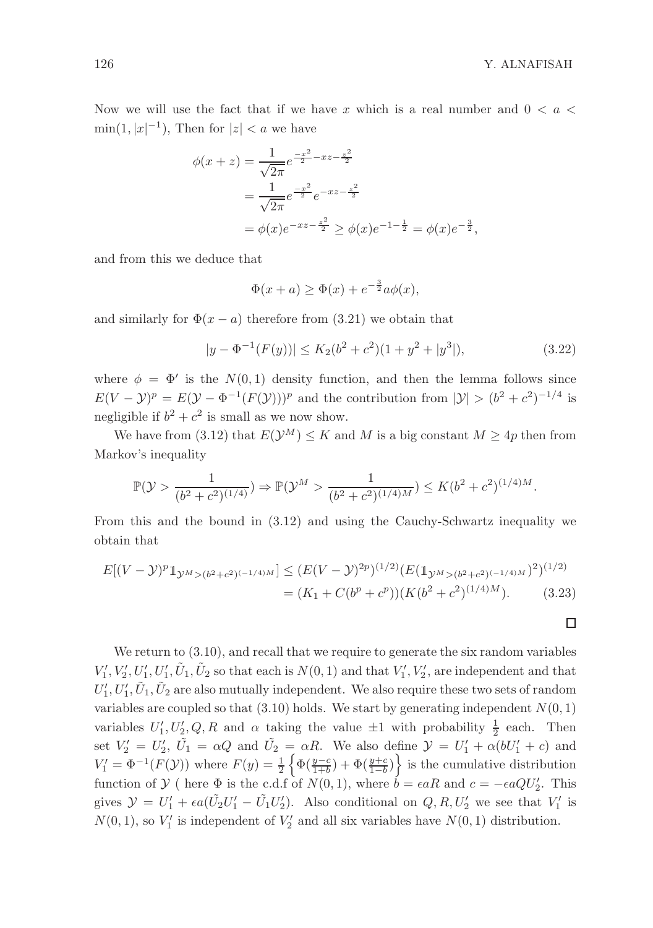$\Box$ 

Now we will use the fact that if we have x which is a real number and  $0 < a <$  $\min(1, |x|^{-1}),$  Then for  $|z| < a$  we have

$$
\phi(x+z) = \frac{1}{\sqrt{2\pi}} e^{\frac{-x^2}{2} - xz - \frac{z^2}{2}}
$$
  
= 
$$
\frac{1}{\sqrt{2\pi}} e^{\frac{-x^2}{2}} e^{-xz - \frac{z^2}{2}}
$$
  
= 
$$
\phi(x)e^{-xz - \frac{z^2}{2}} \ge \phi(x)e^{-1 - \frac{1}{2}} = \phi(x)e^{-\frac{3}{2}},
$$

and from this we deduce that

$$
\Phi(x+a) \ge \Phi(x) + e^{-\frac{3}{2}}a\phi(x),
$$

and similarly for  $\Phi(x-a)$  therefore from (3.21) we obtain that

$$
|y - \Phi^{-1}(F(y))| \le K_2(b^2 + c^2)(1 + y^2 + |y^3|), \tag{3.22}
$$

where  $\phi = \Phi'$  is the  $N(0, 1)$  density function, and then the lemma follows since  $E(V - \mathcal{Y})^p = E(\mathcal{Y} - \Phi^{-1}(F(\mathcal{Y})))^p$  and the contribution from  $|\mathcal{Y}| > (b^2 + c^2)^{-1/4}$  is negligible if  $b^2 + c^2$  is small as we now show.

We have from (3.12) that  $E(\mathcal{Y}^M) \leq K$  and M is a big constant  $M \geq 4p$  then from Markov's inequality

$$
\mathbb{P}(\mathcal{Y} > \frac{1}{(b^2 + c^2)^{(1/4)}}) \Rightarrow \mathbb{P}(\mathcal{Y}^M > \frac{1}{(b^2 + c^2)^{(1/4)M}}) \le K(b^2 + c^2)^{(1/4)M}.
$$

From this and the bound in (3.12) and using the Cauchy-Schwartz inequality we obtain that

$$
E[(V - Y)^p \mathbb{1}_{Y^M > (b^2 + c^2)^{(-1/4)M}}] \le (E(V - Y)^{2p})^{(1/2)} (E(\mathbb{1}_{Y^M > (b^2 + c^2)^{(-1/4)M}})^2)^{(1/2)}
$$
  
=  $(K_1 + C(b^p + c^p)) (K(b^2 + c^2)^{(1/4)M}).$  (3.23)

We return to  $(3.10)$ , and recall that we require to generate the six random variables  $V'_1, V'_2, U'_1, U'_1, \tilde{U}_1, \tilde{U}_2$  so that each is  $N(0, 1)$  and that  $V'_1, V'_2$ , are independent and that  $U'_1, U'_1, \tilde{U}_1, \tilde{U}_2$  are also mutually independent. We also require these two sets of random variables are coupled so that  $(3.10)$  holds. We start by generating independent  $N(0, 1)$ variables  $U'_1, U'_2, Q, R$  and  $\alpha$  taking the value  $\pm 1$  with probability  $\frac{1}{2}$  each. Then set  $V_2' = U_2'$ ,  $\tilde{U_1} = \alpha Q$  and  $\tilde{U_2} = \alpha R$ . We also define  $\mathcal{Y} = U_1' + \alpha (bU_1' + c)$  and  $V_1' = \Phi^{-1}(F(\mathcal{Y}))$  where  $F(y) = \frac{1}{2} \left\{ \Phi(\frac{y-c}{1+b}) + \Phi(\frac{y+c}{1-b}) \right\}$  is the cumulative distribution function of  $\mathcal{Y}$  ( here  $\Phi$  is the c.d.f of  $N(0, 1)$ , where  $b = \epsilon aR$  and  $c = -\epsilon aQU_2'$ . This gives  $\mathcal{Y} = U'_1 + \epsilon a(\tilde{U}_2 U'_1 - \tilde{U}_1 U'_2)$ . Also conditional on  $Q, R, U'_2$  we see that  $V'_1$  is  $N(0, 1)$ , so  $V'_1$  is independent of  $V'_2$  and all six variables have  $N(0, 1)$  distribution.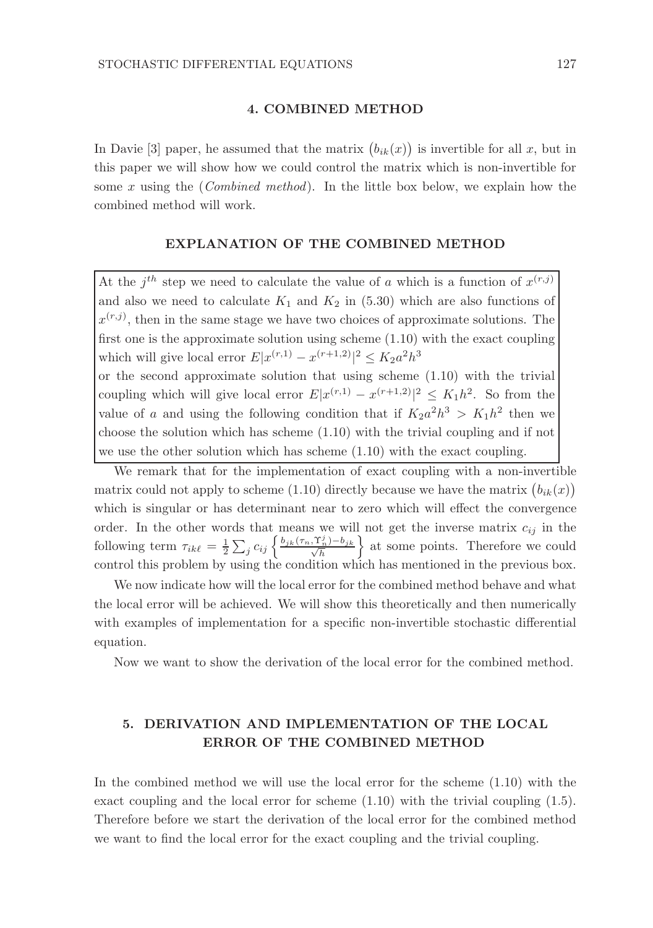#### 4. COMBINED METHOD

In Davie [3] paper, he assumed that the matrix  $(b_{ik}(x))$  is invertible for all x, but in this paper we will show how we could control the matrix which is non-invertible for some x using the (*Combined method*). In the little box below, we explain how the combined method will work.

#### EXPLANATION OF THE COMBINED METHOD

At the  $j^{th}$  step we need to calculate the value of a which is a function of  $x^{(r,j)}$ and also we need to calculate  $K_1$  and  $K_2$  in (5.30) which are also functions of  $x^{(r,j)}$ , then in the same stage we have two choices of approximate solutions. The first one is the approximate solution using scheme (1.10) with the exact coupling which will give local error  $E|x^{(r,1)} - x^{(r+1,2)}|^2 \le K_2 a^2 h^3$ 

or the second approximate solution that using scheme (1.10) with the trivial coupling which will give local error  $E|x^{(r,1)} - x^{(r+1,2)}|^2 \le K_1 h^2$ . So from the value of a and using the following condition that if  $K_2 a^2 h^3 > K_1 h^2$  then we choose the solution which has scheme (1.10) with the trivial coupling and if not we use the other solution which has scheme (1.10) with the exact coupling.

We remark that for the implementation of exact coupling with a non-invertible matrix could not apply to scheme (1.10) directly because we have the matrix  $(b_{ik}(x))$ which is singular or has determinant near to zero which will effect the convergence order. In the other words that means we will not get the inverse matrix  $c_{ij}$  in the following term  $\tau_{ik\ell} = \frac{1}{2} \sum_j c_{ij} \left\{ \frac{b_{jk}(\tau_n, \Upsilon_n^j) - b_{jk}}{\sqrt{h}} \right\}$  at some points. Therefore we could control this problem by using the condition which has mentioned in the previous box.

We now indicate how will the local error for the combined method behave and what the local error will be achieved. We will show this theoretically and then numerically with examples of implementation for a specific non-invertible stochastic differential equation.

Now we want to show the derivation of the local error for the combined method.

## 5. DERIVATION AND IMPLEMENTATION OF THE LOCAL ERROR OF THE COMBINED METHOD

In the combined method we will use the local error for the scheme (1.10) with the exact coupling and the local error for scheme (1.10) with the trivial coupling (1.5). Therefore before we start the derivation of the local error for the combined method we want to find the local error for the exact coupling and the trivial coupling.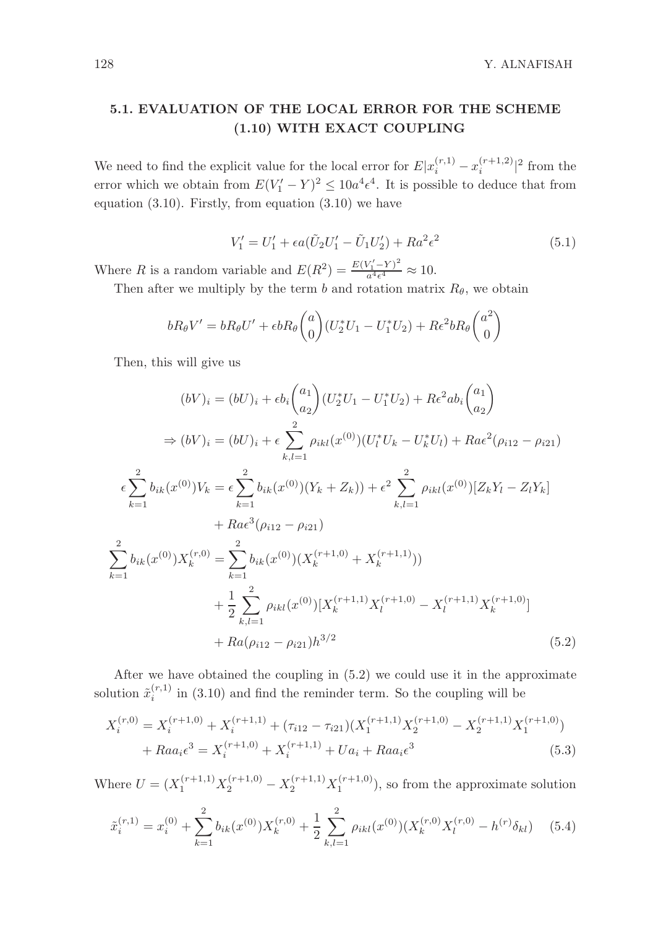128 Y. ALNAFISAH

# 5.1. EVALUATION OF THE LOCAL ERROR FOR THE SCHEME (1.10) WITH EXACT COUPLING

We need to find the explicit value for the local error for  $E|x_i^{(r,1)} - x_i^{(r+1,2)}|^2$  from the error which we obtain from  $E(V'_1 - Y)^2 \leq 10a^4 \epsilon^4$ . It is possible to deduce that from equation  $(3.10)$ . Firstly, from equation  $(3.10)$  we have

$$
V_1' = U_1' + \epsilon a (\tilde{U}_2 U_1' - \tilde{U}_1 U_2') + R a^2 \epsilon^2
$$
\n(5.1)

Where R is a random variable and  $E(R^2) = \frac{E(V_1' - Y)^2}{a^4 \epsilon^4}$  $\frac{\sqrt{1-r}}{a^4\epsilon^4} \approx 10.$ 

Then after we multiply by the term b and rotation matrix  $R_{\theta}$ , we obtain

$$
bR_{\theta}V'=bR_{\theta}U'+\epsilon bR_{\theta}\binom{a}{0}(U_2^*U_1-U_1^*U_2)+R\epsilon^2bR_{\theta}\binom{a^2}{0}
$$

Then, this will give us

$$
(bV)_i = (bU)_i + \epsilon b_i \binom{a_1}{a_2} (U_2^* U_1 - U_1^* U_2) + R \epsilon^2 a b_i \binom{a_1}{a_2}
$$
  
\n
$$
\Rightarrow (bV)_i = (bU)_i + \epsilon \sum_{k,l=1}^2 \rho_{ikl}(x^{(0)}) (U_l^* U_k - U_k^* U_l) + R a \epsilon^2 (\rho_{i12} - \rho_{i21})
$$
  
\n
$$
\epsilon \sum_{k=1}^2 b_{ik}(x^{(0)}) V_k = \epsilon \sum_{k=1}^2 b_{ik}(x^{(0)}) (Y_k + Z_k) + \epsilon^2 \sum_{k,l=1}^2 \rho_{ikl}(x^{(0)}) [Z_k Y_l - Z_l Y_k]
$$
  
\n
$$
+ R a \epsilon^3 (\rho_{i12} - \rho_{i21})
$$
  
\n
$$
\sum_{k=1}^2 b_{ik}(x^{(0)}) X_k^{(r,0)} = \sum_{k=1}^2 b_{ik}(x^{(0)}) (X_k^{(r+1,0)} + X_k^{(r+1,1)}))
$$
  
\n
$$
+ \frac{1}{2} \sum_{k,l=1}^2 \rho_{ikl}(x^{(0)}) [X_k^{(r+1,1)} X_l^{(r+1,0)} - X_l^{(r+1,1)} X_k^{(r+1,0)}]
$$
  
\n
$$
+ R a(\rho_{i12} - \rho_{i21}) h^{3/2}
$$
 (5.2)

After we have obtained the coupling in (5.2) we could use it in the approximate solution  $\tilde{x}_i^{(r,1)}$  in (3.10) and find the reminder term. So the coupling will be

$$
X_i^{(r,0)} = X_i^{(r+1,0)} + X_i^{(r+1,1)} + (\tau_{i12} - \tau_{i21})(X_1^{(r+1,1)}X_2^{(r+1,0)} - X_2^{(r+1,1)}X_1^{(r+1,0)}) + Raa_i \epsilon^3 = X_i^{(r+1,0)} + X_i^{(r+1,1)} + Ua_i + Raa_i \epsilon^3
$$
(5.3)

Where  $U = (X_1^{(r+1,1)}X_2^{(r+1,0)} - X_2^{(r+1,1)}X_1^{(r+1,0)}),$  so from the approximate solution

$$
\tilde{x}_{i}^{(r,1)} = x_{i}^{(0)} + \sum_{k=1}^{2} b_{ik}(x^{(0)})X_{k}^{(r,0)} + \frac{1}{2} \sum_{k,l=1}^{2} \rho_{ikl}(x^{(0)}) (X_{k}^{(r,0)}X_{l}^{(r,0)} - h^{(r)}\delta_{kl})
$$
(5.4)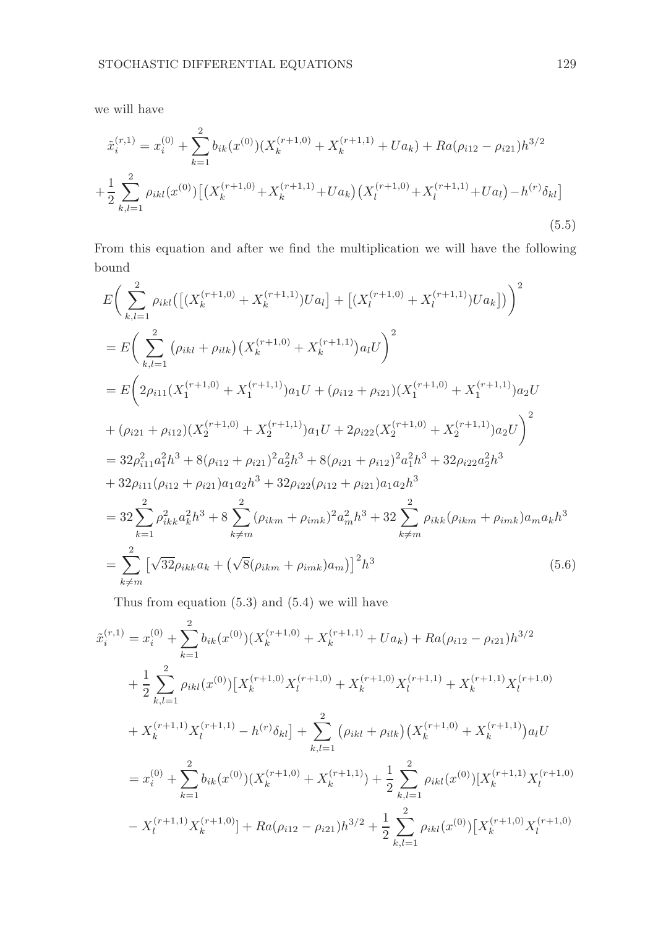we will have

$$
\tilde{x}_{i}^{(r,1)} = x_{i}^{(0)} + \sum_{k=1}^{2} b_{ik}(x^{(0)}) (X_{k}^{(r+1,0)} + X_{k}^{(r+1,1)} + Ua_{k}) + Ra(\rho_{i12} - \rho_{i21})h^{3/2} \n+ \frac{1}{2} \sum_{k,l=1}^{2} \rho_{ikl}(x^{(0)}) [(X_{k}^{(r+1,0)} + X_{k}^{(r+1,1)} + Ua_{k}) (X_{l}^{(r+1,0)} + X_{l}^{(r+1,1)} + Ua_{l}) - h^{(r)}\delta_{kl}]
$$
\n(5.5)

From this equation and after we find the multiplication we will have the following bound

$$
E\left(\sum_{k,l=1}^{2} \rho_{ikl} \left(\left[\left(X_{k}^{(r+1,0)} + X_{k}^{(r+1,1)}\right)Ua_{l}\right] + \left[\left(X_{l}^{(r+1,0)} + X_{l}^{(r+1,1)}\right)Ua_{k}\right]\right)\right)^{2}
$$
\n
$$
= E\left(\sum_{k,l=1}^{2} \left(\rho_{ikl} + \rho_{ilk}\right)\left(X_{k}^{(r+1,0)} + X_{k}^{(r+1,1)}\right)a_{l}U\right)^{2}
$$
\n
$$
= E\left(2\rho_{i11}\left(X_{1}^{(r+1,0)} + X_{1}^{(r+1,1)}\right)a_{1}U + \left(\rho_{i12} + \rho_{i21}\right)\left(X_{1}^{(r+1,0)} + X_{1}^{(r+1,1)}\right)a_{2}U\right)
$$
\n
$$
+ (\rho_{i21} + \rho_{i12})\left(X_{2}^{(r+1,0)} + X_{2}^{(r+1,1)}\right)a_{1}U + 2\rho_{i22}\left(X_{2}^{(r+1,0)} + X_{2}^{(r+1,1)}\right)a_{2}U\right)^{2}
$$
\n
$$
= 32\rho_{i11}^{2}a_{1}^{2}h^{3} + 8(\rho_{i12} + \rho_{i21})^{2}a_{2}^{2}h^{3} + 8(\rho_{i21} + \rho_{i12})^{2}a_{1}^{2}h^{3} + 32\rho_{i22}a_{2}^{2}h^{3}
$$
\n
$$
+ 32\rho_{i11}(\rho_{i12} + \rho_{i21})a_{1}a_{2}h^{3} + 32\rho_{i22}(\rho_{i12} + \rho_{i21})a_{1}a_{2}h^{3}
$$
\n
$$
= 32\sum_{k=1}^{2}\rho_{ikk}^{2}a_{k}^{2}h^{3} + 8\sum_{k \neq m}^{2}(\rho_{ikm} + \rho_{imk})^{2}a_{m}^{2}h^{3} + 32\sum_{k \neq m}^{2}\rho_{ikk}(\rho_{ikm} + \rho_{imk})a_{m}a_{k}h^{3}
$$
\n
$$
= \sum_{k \neq m}^{
$$

Thus from equation (5.3) and (5.4) we will have

$$
\tilde{x}_{i}^{(r,1)} = x_{i}^{(0)} + \sum_{k=1}^{2} b_{ik}(x^{(0)}) (X_{k}^{(r+1,0)} + X_{k}^{(r+1,1)} + Ua_{k}) + Ra(\rho_{i12} - \rho_{i21})h^{3/2}
$$
  
+ 
$$
\frac{1}{2} \sum_{k,l=1}^{2} \rho_{ikl}(x^{(0)}) [X_{k}^{(r+1,0)} X_{l}^{(r+1,0)} + X_{k}^{(r+1,0)} X_{l}^{(r+1,1)} + X_{k}^{(r+1,1)} X_{l}^{(r+1,0)}
$$
  
+ 
$$
X_{k}^{(r+1,1)} X_{l}^{(r+1,1)} - h^{(r)} \delta_{kl}] + \sum_{k,l=1}^{2} (\rho_{ikl} + \rho_{ilk}) (X_{k}^{(r+1,0)} + X_{k}^{(r+1,1)}) a_{il} U
$$
  
= 
$$
x_{i}^{(0)} + \sum_{k=1}^{2} b_{ik}(x^{(0)}) (X_{k}^{(r+1,0)} + X_{k}^{(r+1,1)}) + \frac{1}{2} \sum_{k,l=1}^{2} \rho_{ikl}(x^{(0)}) [X_{k}^{(r+1,1)} X_{l}^{(r+1,0)}
$$
  
- 
$$
X_{l}^{(r+1,1)} X_{k}^{(r+1,0)}] + Ra(\rho_{i12} - \rho_{i21})h^{3/2} + \frac{1}{2} \sum_{k,l=1}^{2} \rho_{ikl}(x^{(0)}) [X_{k}^{(r+1,0)} X_{l}^{(r+1,0)}
$$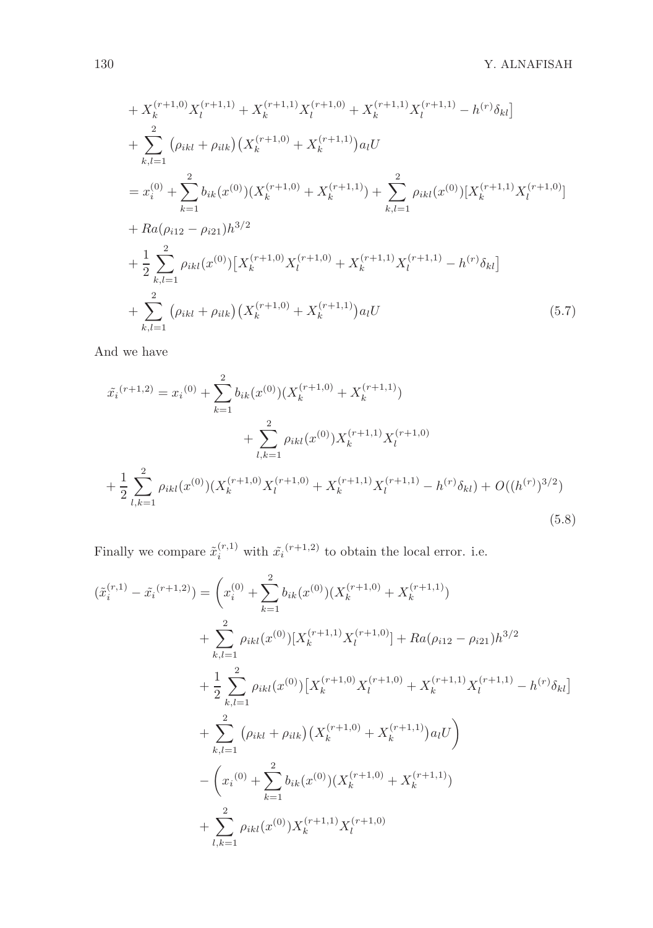$$
+ X_{k}^{(r+1,0)} X_{l}^{(r+1,1)} + X_{k}^{(r+1,1)} X_{l}^{(r+1,0)} + X_{k}^{(r+1,1)} X_{l}^{(r+1,1)} - h^{(r)} \delta_{kl}]
$$
  
+ 
$$
\sum_{k,l=1}^{2} (\rho_{ikl} + \rho_{ilk}) (X_{k}^{(r+1,0)} + X_{k}^{(r+1,1)}) a_{l} U
$$
  
= 
$$
x_{i}^{(0)} + \sum_{k=1}^{2} b_{ik} (x^{(0)}) (X_{k}^{(r+1,0)} + X_{k}^{(r+1,1)}) + \sum_{k,l=1}^{2} \rho_{ikl} (x^{(0)}) [X_{k}^{(r+1,1)} X_{l}^{(r+1,0)}]
$$
  
+ 
$$
Ra(\rho_{i12} - \rho_{i21}) h^{3/2}
$$
  
+ 
$$
\frac{1}{2} \sum_{k,l=1}^{2} \rho_{ikl} (x^{(0)}) [X_{k}^{(r+1,0)} X_{l}^{(r+1,0)} + X_{k}^{(r+1,1)} X_{l}^{(r+1,1)} - h^{(r)} \delta_{kl}]
$$
  
+ 
$$
\sum_{k,l=1}^{2} (\rho_{ikl} + \rho_{ilk}) (X_{k}^{(r+1,0)} + X_{k}^{(r+1,1)}) a_{l} U
$$
(5.7)

And we have

$$
\tilde{x_i}^{(r+1,2)} = x_i^{(0)} + \sum_{k=1}^2 b_{ik}(x^{(0)}) (X_k^{(r+1,0)} + X_k^{(r+1,1)}) \n+ \sum_{l,k=1}^2 \rho_{ikl}(x^{(0)}) X_k^{(r+1,1)} X_l^{(r+1,0)} \n+ \frac{1}{2} \sum_{l,k=1}^2 \rho_{ikl}(x^{(0)}) (X_k^{(r+1,0)} X_l^{(r+1,0)} + X_k^{(r+1,1)} X_l^{(r+1,1)} - h^{(r)} \delta_{kl}) + O((h^{(r)})^{3/2})
$$
\n(5.8)

Finally we compare  $\tilde{x}_i^{(r,1)}$  with  $\tilde{x}_i^{(r+1,2)}$  to obtain the local error. i.e.

$$
(\tilde{x}_{i}^{(r,1)} - \tilde{x}_{i}^{(r+1,2)}) = \left(x_{i}^{(0)} + \sum_{k=1}^{2} b_{ik}(x^{(0)}) (X_{k}^{(r+1,0)} + X_{k}^{(r+1,1)})
$$
  
+ 
$$
\sum_{k,l=1}^{2} \rho_{ikl}(x^{(0)}) [X_{k}^{(r+1,1)} X_{l}^{(r+1,0)}] + Ra(\rho_{i12} - \rho_{i21})h^{3/2}
$$
  
+ 
$$
\frac{1}{2} \sum_{k,l=1}^{2} \rho_{ikl}(x^{(0)}) [X_{k}^{(r+1,0)} X_{l}^{(r+1,0)} + X_{k}^{(r+1,1)} X_{l}^{(r+1,1)} - h^{(r)} \delta_{kl}]
$$
  
+ 
$$
\sum_{k,l=1}^{2} (\rho_{ikl} + \rho_{ilk}) (X_{k}^{(r+1,0)} + X_{k}^{(r+1,1)}) a_{l} U
$$
  
- 
$$
\left(x_{i}^{(0)} + \sum_{k=1}^{2} b_{ik}(x^{(0)}) (X_{k}^{(r+1,0)} + X_{k}^{(r+1,1)})
$$
  
+ 
$$
\sum_{l,k=1}^{2} \rho_{ikl}(x^{(0)}) X_{k}^{(r+1,1)} X_{l}^{(r+1,0)}
$$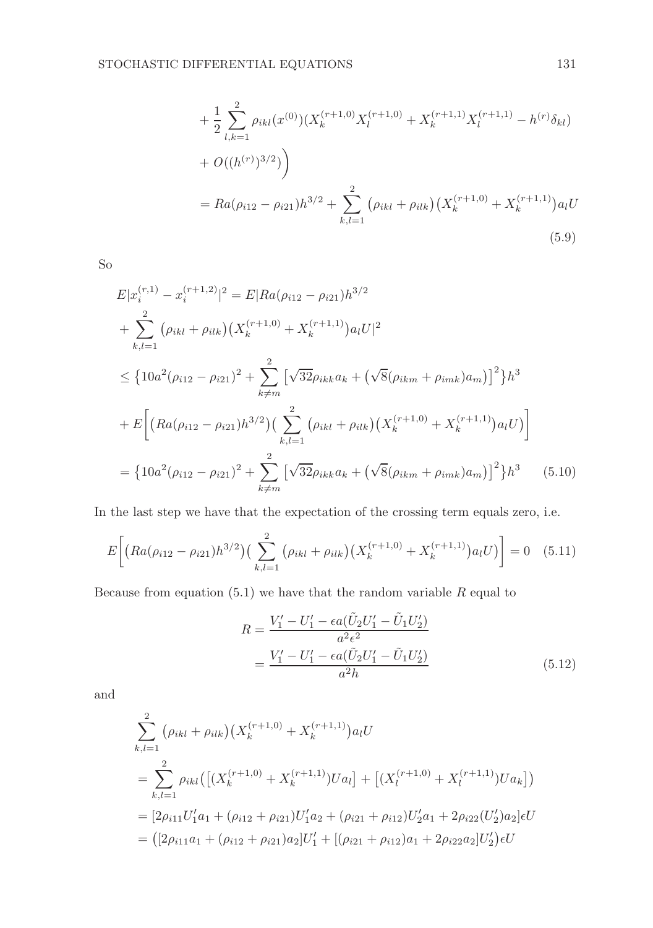$$
+\frac{1}{2}\sum_{l,k=1}^{2}\rho_{ikl}(x^{(0)})(X_k^{(r+1,0)}X_l^{(r+1,0)} + X_k^{(r+1,1)}X_l^{(r+1,1)} - h^{(r)}\delta_{kl})
$$
  
+  $O((h^{(r)})^{3/2})$   
=  $Ra(\rho_{i12} - \rho_{i21})h^{3/2} + \sum_{k,l=1}^{2} (\rho_{ikl} + \rho_{ilk})(X_k^{(r+1,0)} + X_k^{(r+1,1)})a_lU$   
(5.9)

So

$$
E|x_i^{(r,1)} - x_i^{(r+1,2)}|^2 = E|Ra(\rho_{i12} - \rho_{i21})h^{3/2}
$$
  
+ 
$$
\sum_{k,l=1}^2 (\rho_{ikl} + \rho_{ilk})(X_k^{(r+1,0)} + X_k^{(r+1,1)})a_lU|^2
$$
  

$$
\leq \{10a^2(\rho_{i12} - \rho_{i21})^2 + \sum_{k \neq m}^2 [\sqrt{32}\rho_{ikk}a_k + (\sqrt{8}(\rho_{ikm} + \rho_{imk})a_m)]^2\}h^3
$$
  
+ 
$$
E\left[\left(Ra(\rho_{i12} - \rho_{i21})h^{3/2}\right)\left(\sum_{k,l=1}^2 (\rho_{ikl} + \rho_{ilk})\left(X_k^{(r+1,0)} + X_k^{(r+1,1)}\right)a_lU\right)\right]
$$
  
= 
$$
\{10a^2(\rho_{i12} - \rho_{i21})^2 + \sum_{k \neq m}^2 [\sqrt{32}\rho_{ikk}a_k + (\sqrt{8}(\rho_{ikm} + \rho_{imk})a_m)]^2\}h^3
$$
 (5.10)

In the last step we have that the expectation of the crossing term equals zero, i.e.

$$
E\bigg[\big(Ra(\rho_{i12}-\rho_{i21})h^{3/2}\big)\big(\sum_{k,l=1}^2\big(\rho_{ikl}+\rho_{ilk}\big)\big(X_k^{(r+1,0)}+X_k^{(r+1,1)}\big)a_lU\big)\bigg]=0\quad(5.11)
$$

Because from equation (5.1) we have that the random variable  $R$  equal to

$$
R = \frac{V'_1 - U'_1 - \epsilon a (\tilde{U}_2 U'_1 - \tilde{U}_1 U'_2)}{a^2 \epsilon^2}
$$
  
= 
$$
\frac{V'_1 - U'_1 - \epsilon a (\tilde{U}_2 U'_1 - \tilde{U}_1 U'_2)}{a^2 h}
$$
 (5.12)

and

$$
\sum_{k,l=1}^{2} (\rho_{ikl} + \rho_{ilk}) \left( X_k^{(r+1,0)} + X_k^{(r+1,1)} \right) a_l U
$$
\n
$$
= \sum_{k,l=1}^{2} \rho_{ikl} \left( \left[ (X_k^{(r+1,0)} + X_k^{(r+1,1)}) U a_l \right] + \left[ (X_l^{(r+1,0)} + X_l^{(r+1,1)}) U a_k \right] \right)
$$
\n
$$
= [2\rho_{i11} U_1' a_1 + (\rho_{i12} + \rho_{i21}) U_1' a_2 + (\rho_{i21} + \rho_{i12}) U_2' a_1 + 2\rho_{i22} (U_2') a_2] \epsilon U
$$
\n
$$
= \left( \left[ 2\rho_{i11} a_1 + (\rho_{i12} + \rho_{i21}) a_2 \right] U_1' + \left[ (\rho_{i21} + \rho_{i12}) a_1 + 2\rho_{i22} a_2 \right] U_2' \right) \epsilon U
$$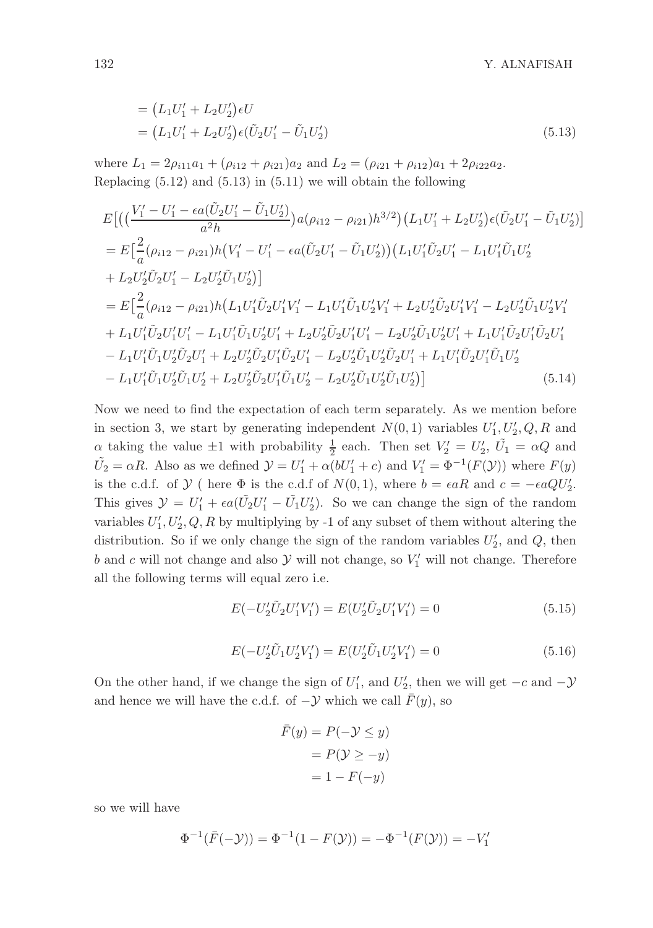$$
= (L_1U'_1 + L_2U'_2)\epsilon U
$$
  
=  $(L_1U'_1 + L_2U'_2)\epsilon (\tilde{U}_2U'_1 - \tilde{U}_1U'_2)$  (5.13)

where  $L_1 = 2\rho_{i11}a_1 + (\rho_{i12} + \rho_{i21})a_2$  and  $L_2 = (\rho_{i21} + \rho_{i12})a_1 + 2\rho_{i22}a_2$ . Replacing  $(5.12)$  and  $(5.13)$  in  $(5.11)$  we will obtain the following

$$
E\left[\left(\left(\frac{V_1'-U_1'-\epsilon a(\tilde{U}_2 U_1'-\tilde{U}_1 U_2')}{a^2h}\right)a(\rho_{i12}-\rho_{i21})h^{3/2}\right)(L_1U_1'+L_2U_2')\epsilon(\tilde{U}_2U_1'-\tilde{U}_1U_2')\right]
$$
\n
$$
= E\left[\frac{2}{a}(\rho_{i12}-\rho_{i21})h\left(V_1'-U_1'-\epsilon a(\tilde{U}_2 U_1'-\tilde{U}_1 U_2')\right)\left(L_1U_1'\tilde{U}_2U_1'-L_1U_1'\tilde{U}_1U_2'\right) + L_2U_2'\tilde{U}_2U_1'-L_2U_2'\tilde{U}_1U_2'\right)\right]
$$
\n
$$
= E\left[\frac{2}{a}(\rho_{i12}-\rho_{i21})h\left(L_1U_1'\tilde{U}_2U_1'V_1'-L_1U_1'\tilde{U}_1U_2'V_1'+L_2U_2'\tilde{U}_2U_1'V_1'-L_2U_2'\tilde{U}_1U_2'V_1'\right) + L_1U_1'\tilde{U}_2U_1'U_1'-L_1U_1'\tilde{U}_1U_2'U_1'+L_2U_2'\tilde{U}_2U_1'U_1'-L_2U_2'\tilde{U}_1U_2'U_1'+L_1U_1'\tilde{U}_2U_1'\tilde{U}_2U_1'
$$
\n
$$
-L_1U_1'\tilde{U}_1U_2'\tilde{U}_2U_1'+L_2U_2'\tilde{U}_2U_1'\tilde{U}_2U_1'-L_2U_2'\tilde{U}_1U_2'\tilde{U}_2U_1'+L_1U_1'\tilde{U}_2U_1'\tilde{U}_1U_2'
$$
\n
$$
-L_1U_1'\tilde{U}_1U_2'\tilde{U}_1U_2'+L_2U_2'\tilde{U}_2U_1'\tilde{U}_1U_2'-L_2U_2'\tilde{U}_1U_2'\tilde{U}_1U_2'\right)] \qquad (5.14)
$$

Now we need to find the expectation of each term separately. As we mention before in section 3, we start by generating independent  $N(0, 1)$  variables  $U'_1, U'_2, Q, R$  and  $\alpha$  taking the value  $\pm 1$  with probability  $\frac{1}{2}$  each. Then set  $V_2' = U_2'$ ,  $\tilde{U}_1 = \alpha Q$  and  $\tilde{U}_2 = \alpha R$ . Also as we defined  $\mathcal{Y} = U'_1 + \alpha (bU'_1 + c)$  and  $V'_1 = \Phi^{-1}(F(\mathcal{Y}))$  where  $F(y)$ is the c.d.f. of  $\mathcal{Y}$  ( here  $\Phi$  is the c.d.f of  $N(0, 1)$ , where  $b = \epsilon aR$  and  $c = -\epsilon aQU'_2$ . This gives  $\mathcal{Y} = U'_1 + \epsilon a(\tilde{U}_2 U'_1 - \tilde{U}_1 U'_2)$ . So we can change the sign of the random variables  $U'_1, U'_2, Q, R$  by multiplying by -1 of any subset of them without altering the distribution. So if we only change the sign of the random variables  $U'_2$ , and  $Q$ , then b and c will not change and also  $\mathcal Y$  will not change, so  $V'_1$  will not change. Therefore all the following terms will equal zero i.e.

$$
E(-U_2'\tilde{U}_2U_1'V_1') = E(U_2'\tilde{U}_2U_1'V_1') = 0
$$
\n(5.15)

$$
E(-U_2'\tilde{U}_1U_2'V_1') = E(U_2'\tilde{U}_1U_2'V_1') = 0
$$
\n(5.16)

On the other hand, if we change the sign of  $U'_1$ , and  $U'_2$ , then we will get  $-c$  and  $-\mathcal{Y}$ and hence we will have the c.d.f. of  $-\mathcal{Y}$  which we call  $\bar{F}(y)$ , so

$$
\begin{aligned} \bar{F}(y) &= P(-\mathcal{Y} \le y) \\ &= P(\mathcal{Y} \ge -y) \\ &= 1 - F(-y) \end{aligned}
$$

so we will have

$$
\Phi^{-1}(\bar{F}(-\mathcal{Y})) = \Phi^{-1}(1 - F(\mathcal{Y})) = -\Phi^{-1}(F(\mathcal{Y})) = -V_1'
$$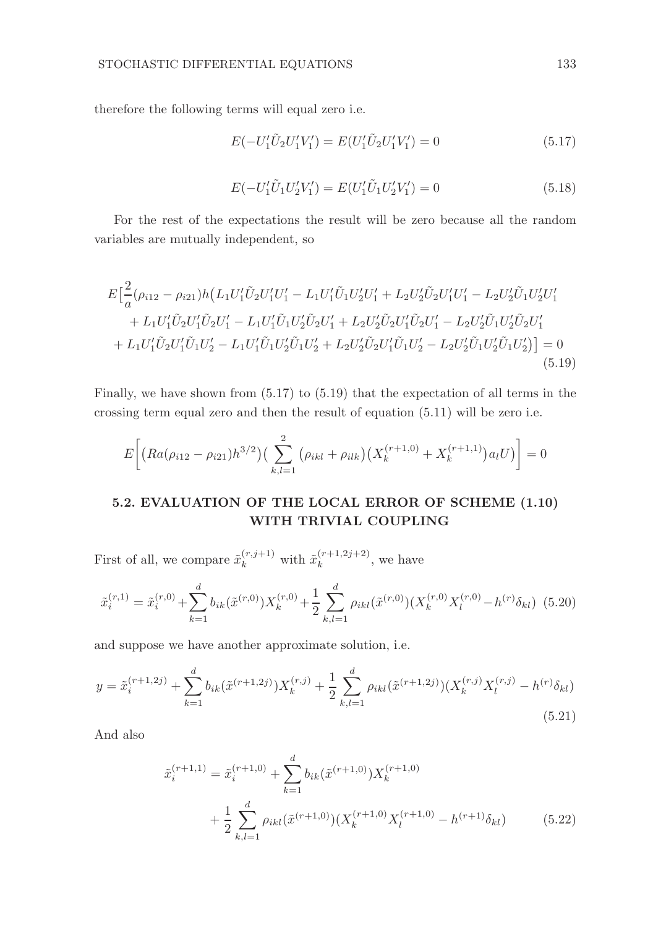therefore the following terms will equal zero i.e.

$$
E(-U_1'\tilde{U}_2U_1'V_1') = E(U_1'\tilde{U}_2U_1'V_1') = 0
$$
\n(5.17)

$$
E(-U_1'\tilde{U}_1U_2'V_1') = E(U_1'\tilde{U}_1U_2'V_1') = 0
$$
\n(5.18)

For the rest of the expectations the result will be zero because all the random variables are mutually independent, so

$$
E\left[\frac{2}{a}(\rho_{i12} - \rho_{i21})h\left(L_{1}U_{1}'\tilde{U}_{2}U_{1}'U_{1}' - L_{1}U_{1}'\tilde{U}_{1}U_{2}'U_{1}' + L_{2}U_{2}'\tilde{U}_{2}U_{1}'U_{1}' - L_{2}U_{2}'\tilde{U}_{1}U_{2}'U_{1}'\right) \right] + L_{1}U_{1}'\tilde{U}_{2}U_{1}'\tilde{U}_{2}U_{1}' - L_{1}U_{1}'\tilde{U}_{1}U_{2}'\tilde{U}_{2}U_{1}' + L_{2}U_{2}'\tilde{U}_{2}U_{1}'\tilde{U}_{2}U_{1}' - L_{2}U_{2}'\tilde{U}_{1}U_{2}'\tilde{U}_{2}U_{1}'\right) + L_{1}U_{1}'\tilde{U}_{2}U_{1}'\tilde{U}_{1}U_{2}' - L_{1}U_{1}'\tilde{U}_{1}U_{2}'\tilde{U}_{1}U_{2}' + L_{2}U_{2}'\tilde{U}_{2}U_{1}'\tilde{U}_{1}U_{2}' - L_{2}U_{2}'\tilde{U}_{1}U_{2}'\tilde{U}_{1}U_{2}'\right) = 0
$$
\n(5.19)

Finally, we have shown from (5.17) to (5.19) that the expectation of all terms in the crossing term equal zero and then the result of equation (5.11) will be zero i.e.

$$
E\bigg[\big(Ra(\rho_{i12}-\rho_{i21})h^{3/2}\big)\big(\sum_{k,l=1}^2\big(\rho_{ikl}+\rho_{ilk}\big)\big(X_k^{(r+1,0)}+X_k^{(r+1,1)}\big)a_lU\big)\bigg]=0
$$

# 5.2. EVALUATION OF THE LOCAL ERROR OF SCHEME (1.10) WITH TRIVIAL COUPLING

First of all, we compare  $\tilde{x}_k^{(r,j+1)}$  with  $\tilde{x}_k^{(r+1,2j+2)}$  $\kappa^{(\tau+1,2j+2)}$ , we have

$$
\tilde{x}_{i}^{(r,1)} = \tilde{x}_{i}^{(r,0)} + \sum_{k=1}^{d} b_{ik}(\tilde{x}^{(r,0)})X_{k}^{(r,0)} + \frac{1}{2} \sum_{k,l=1}^{d} \rho_{ikl}(\tilde{x}^{(r,0)})(X_{k}^{(r,0)}X_{l}^{(r,0)} - h^{(r)}\delta_{kl})
$$
(5.20)

and suppose we have another approximate solution, i.e.

$$
y = \tilde{x}_i^{(r+1,2j)} + \sum_{k=1}^d b_{ik}(\tilde{x}^{(r+1,2j)})X_k^{(r,j)} + \frac{1}{2} \sum_{k,l=1}^d \rho_{ikl}(\tilde{x}^{(r+1,2j)})(X_k^{(r,j)}X_l^{(r,j)} - h^{(r)}\delta_{kl})
$$
\n(5.21)

And also

$$
\tilde{x}_{i}^{(r+1,1)} = \tilde{x}_{i}^{(r+1,0)} + \sum_{k=1}^{d} b_{ik} (\tilde{x}^{(r+1,0)}) X_{k}^{(r+1,0)} + \frac{1}{2} \sum_{k,l=1}^{d} \rho_{ikl} (\tilde{x}^{(r+1,0)}) (X_{k}^{(r+1,0)} X_{l}^{(r+1,0)} - h^{(r+1)} \delta_{kl})
$$
\n(5.22)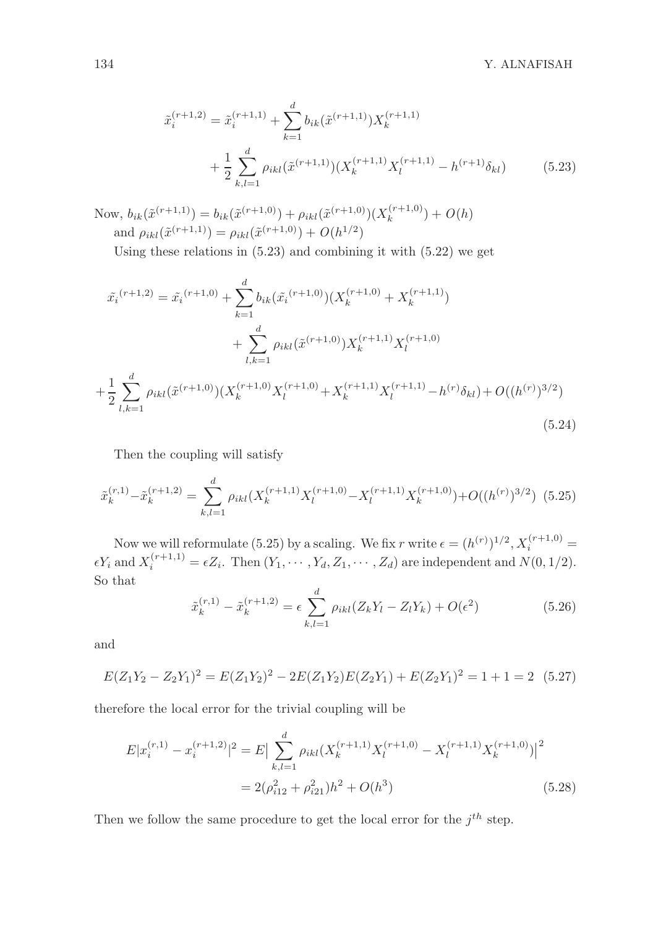$$
\tilde{x}_{i}^{(r+1,2)} = \tilde{x}_{i}^{(r+1,1)} + \sum_{k=1}^{d} b_{ik}(\tilde{x}^{(r+1,1)}) X_{k}^{(r+1,1)} + \frac{1}{2} \sum_{k,l=1}^{d} \rho_{ikl}(\tilde{x}^{(r+1,1)})(X_{k}^{(r+1,1)} X_{l}^{(r+1,1)} - h^{(r+1)} \delta_{kl})
$$
\n(5.23)

Now,  $b_{ik}(\tilde{x}^{(r+1,1)}) = b_{ik}(\tilde{x}^{(r+1,0)}) + \rho_{ikl}(\tilde{x}^{(r+1,0)})(X_k^{(r+1,0)})$  $b_k^{(r+1,0)}$  +  $O(h)$ and  $\rho_{ikl}(\tilde{x}^{(r+1,1)}) = \rho_{ikl}(\tilde{x}^{(r+1,0)}) + O(h^{1/2})$ 

Using these relations in (5.23) and combining it with (5.22) we get

$$
\tilde{x_i}^{(r+1,2)} = \tilde{x_i}^{(r+1,0)} + \sum_{k=1}^d b_{ik} (\tilde{x_i}^{(r+1,0)})(X_k^{(r+1,0)} + X_k^{(r+1,1)}) \n+ \sum_{l,k=1}^d \rho_{ikl} (\tilde{x}^{(r+1,0)}) X_k^{(r+1,1)} X_l^{(r+1,0)} \n+ \frac{1}{2} \sum_{l,k=1}^d \rho_{ikl} (\tilde{x}^{(r+1,0)})(X_k^{(r+1,0)} X_l^{(r+1,0)} + X_k^{(r+1,1)} X_l^{(r+1,1)} - h^{(r)} \delta_{kl}) + O((h^{(r)})^{3/2})
$$
\n(5.24)

Then the coupling will satisfy

$$
\tilde{x}_{k}^{(r,1)} - \tilde{x}_{k}^{(r+1,2)} = \sum_{k,l=1}^{d} \rho_{ikl}(X_{k}^{(r+1,1)}X_{l}^{(r+1,0)} - X_{l}^{(r+1,1)}X_{k}^{(r+1,0)}) + O((h^{(r)})^{3/2})
$$
(5.25)

Now we will reformulate (5.25) by a scaling. We fix r write  $\epsilon = (h^{(r)})^{1/2}$ ,  $X_i^{(r+1,0)}$  =  $\epsilon Y_i$  and  $X_i^{(r+1,1)} = \epsilon Z_i$ . Then  $(Y_1, \cdots, Y_d, Z_1, \cdots, Z_d)$  are independent and  $N(0, 1/2)$ . So that

$$
\tilde{x}_{k}^{(r,1)} - \tilde{x}_{k}^{(r+1,2)} = \epsilon \sum_{k,l=1}^{d} \rho_{ikl} (Z_k Y_l - Z_l Y_k) + O(\epsilon^2)
$$
\n(5.26)

and

 $\overline{a}$ 

$$
E(Z_1Y_2 - Z_2Y_1)^2 = E(Z_1Y_2)^2 - 2E(Z_1Y_2)E(Z_2Y_1) + E(Z_2Y_1)^2 = 1 + 1 = 2 \quad (5.27)
$$

therefore the local error for the trivial coupling will be

$$
E|x_i^{(r,1)} - x_i^{(r+1,2)}|^2 = E\left|\sum_{k,l=1}^d \rho_{ikl}(X_k^{(r+1,1)}X_l^{(r+1,0)} - X_l^{(r+1,1)}X_k^{(r+1,0)})\right|^2
$$
  
=  $2(\rho_{i12}^2 + \rho_{i21}^2)h^2 + O(h^3)$  (5.28)

Then we follow the same procedure to get the local error for the  $j<sup>th</sup>$  step.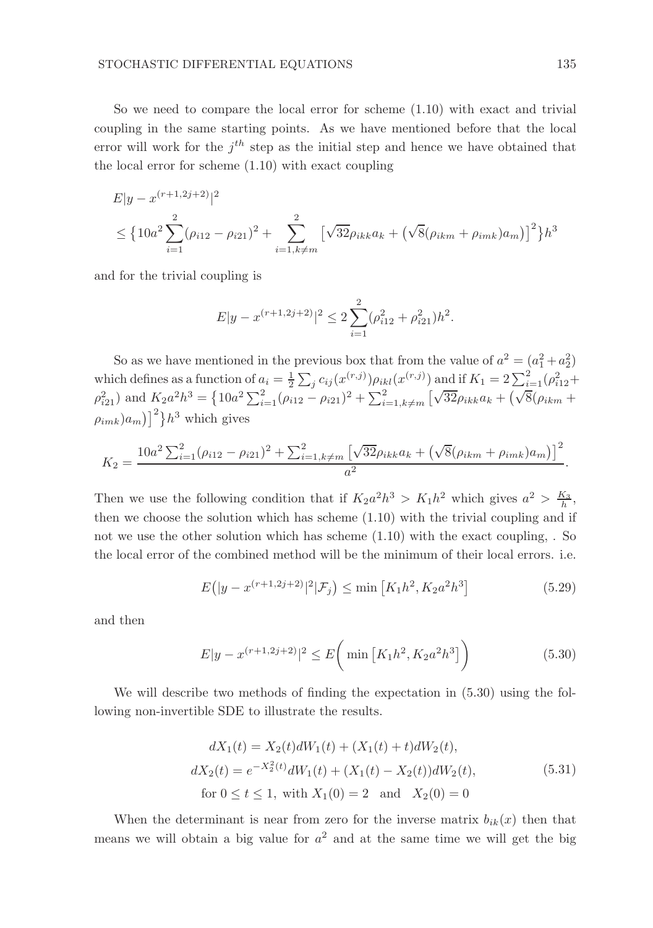So we need to compare the local error for scheme  $(1.10)$  with exact and trivial coupling in the same starting points. As we have mentioned before that the local error will work for the  $j<sup>th</sup>$  step as the initial step and hence we have obtained that the local error for scheme (1.10) with exact coupling

$$
E|y - x^{(r+1,2j+2)}|^2
$$
  
\n
$$
\leq \left\{ 10a^2 \sum_{i=1}^2 (\rho_{i12} - \rho_{i21})^2 + \sum_{i=1, k \neq m}^2 \left[ \sqrt{32} \rho_{ikk} a_k + \left( \sqrt{8} (\rho_{ikm} + \rho_{imk}) a_m \right) \right]^2 \right\} h^3
$$

and for the trivial coupling is

$$
E|y - x^{(r+1,2j+2)}|^2 \le 2\sum_{i=1}^2 (\rho_{i12}^2 + \rho_{i21}^2)h^2.
$$

So as we have mentioned in the previous box that from the value of  $a^2 = (a_1^2 + a_2^2)$ which defines as a function of  $a_i = \frac{1}{2} \sum_j c_{ij} (x^{(r,j)}) \rho_{ikl} (x^{(r,j)})$  and if  $K_1 = 2 \sum_{i=1}^2 (\rho_{i12}^2 +$  $\rho_{i21}^2$ ) and  $K_2 a^2 h^3 = \left\{ 10a^2 \sum_{i=1}^2 (\rho_{i12} - \rho_{i21})^2 + \sum_{i=1, k \neq m}^2 \left[ \sqrt{32} \rho_{ikk} a_k + \sqrt{\sqrt{8} (\rho_{ikm} + \rho_{ikm}^2)^2} \right] \right\}$  $(\rho_{imk})a_m$ ]<sup>2</sup>} $h^3$  which gives

$$
K_2 = \frac{10a^2 \sum_{i=1}^2 (\rho_{i12} - \rho_{i21})^2 + \sum_{i=1, k \neq m}^2 \left[ \sqrt{32} \rho_{ikk} a_k + \left( \sqrt{8} (\rho_{ikm} + \rho_{imk}) a_m \right) \right]^2}{a^2}.
$$

Then we use the following condition that if  $K_2 a^2 h^3 > K_1 h^2$  which gives  $a^2 > \frac{K_3}{h}$ , then we choose the solution which has scheme (1.10) with the trivial coupling and if not we use the other solution which has scheme  $(1.10)$  with the exact coupling, . So the local error of the combined method will be the minimum of their local errors. i.e.

$$
E(|y - x^{(r+1,2j+2)}|^2 | \mathcal{F}_j) \le \min\left[K_1 h^2, K_2 a^2 h^3\right]
$$
\n(5.29)

and then

$$
E|y - x^{(r+1,2j+2)}|^2 \le E\left(\min\left[K_1h^2, K_2a^2h^3\right]\right) \tag{5.30}
$$

We will describe two methods of finding the expectation in (5.30) using the following non-invertible SDE to illustrate the results.

$$
dX_1(t) = X_2(t)dW_1(t) + (X_1(t) + t)dW_2(t),
$$
  
\n
$$
dX_2(t) = e^{-X_2^2(t)}dW_1(t) + (X_1(t) - X_2(t))dW_2(t),
$$
  
\nfor  $0 \le t \le 1$ , with  $X_1(0) = 2$  and  $X_2(0) = 0$  (5.31)

When the determinant is near from zero for the inverse matrix  $b_{ik}(x)$  then that means we will obtain a big value for  $a^2$  and at the same time we will get the big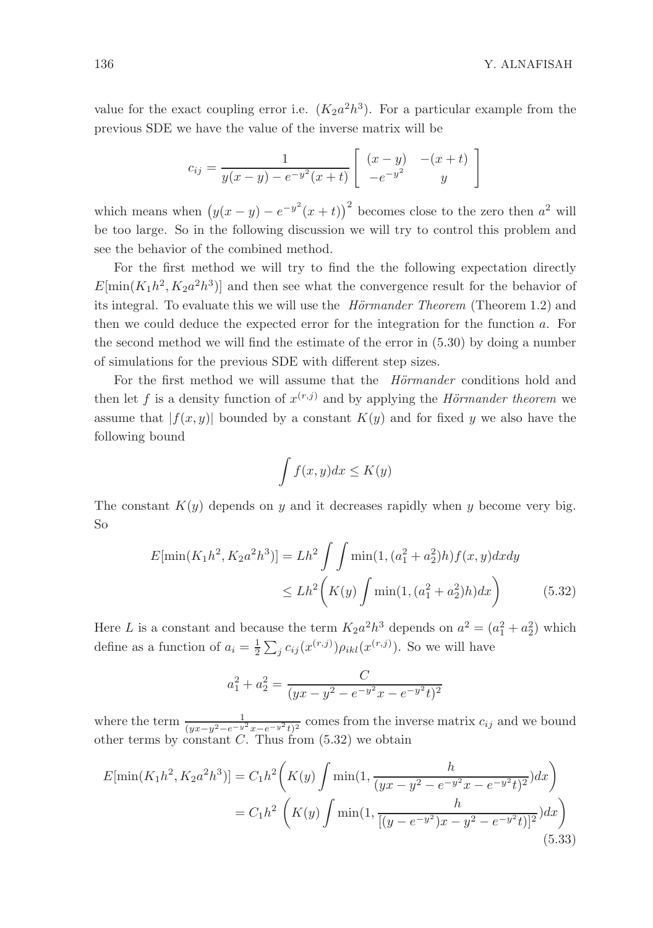value for the exact coupling error i.e.  $(K_2a^2h^3)$ . For a particular example from the previous SDE we have the value of the inverse matrix will be

$$
c_{ij} = \frac{1}{y(x-y) - e^{-y^{2}}(x+t)} \left[ \begin{array}{cc} (x-y) & -(x+t) \\ -e^{-y^{2}} & y \end{array} \right]
$$

which means when  $(y(x - y) - e^{-y^2}(x + t))^2$  becomes close to the zero then  $a^2$  will be too large. So in the following discussion we will try to control this problem and see the behavior of the combined method.

For the first method we will try to find the the following expectation directly  $E[\min(K_1h^2, K_2a^2h^3)]$  and then see what the convergence result for the behavior of its integral. To evaluate this we will use the  $H\ddot{o}rmander Theorem (Theorem 1.2)$  and then we could deduce the expected error for the integration for the function a. For the second method we will find the estimate of the error in (5.30) by doing a number of simulations for the previous SDE with different step sizes.

For the first method we will assume that the *Hörmander* conditions hold and then let f is a density function of  $x^{(r,j)}$  and by applying the Hörmander theorem we assume that  $|f(x, y)|$  bounded by a constant  $K(y)$  and for fixed y we also have the following bound

$$
\int f(x,y)dx \le K(y)
$$

The constant  $K(y)$  depends on y and it decreases rapidly when y become very big. So

$$
E[\min(K_1h^2, K_2a^2h^3)] = Lh^2 \int \int \min(1, (a_1^2 + a_2^2)h) f(x, y) dx dy
$$
  

$$
\leq Lh^2 \left( K(y) \int \min(1, (a_1^2 + a_2^2)h) dx \right) \tag{5.32}
$$

Here L is a constant and because the term  $K_2 a^2 h^3$  depends on  $a^2 = (a_1^2 + a_2^2)$  which define as a function of  $a_i = \frac{1}{2} \sum_j c_{ij} (x^{(r,j)}) \rho_{ikl} (x^{(r,j)})$ . So we will have

$$
a_1^2 + a_2^2 = \frac{C}{(yx - y^2 - e^{-y^2}x - e^{-y^2}t)^2}
$$

where the term  $\frac{1}{(yx-y^2-e^{-y^2}x-e^{-y^2}t)^2}$  comes from the inverse matrix  $c_{ij}$  and we bound other terms by constant  $C$ . Thus from  $(5.32)$  we obtain

$$
E[\min(K_1h^2, K_2a^2h^3)] = C_1h^2\left(K(y)\int \min(1, \frac{h}{(yx - y^2 - e^{-y^2}x - e^{-y^2}t)^2})dx\right)
$$
  
=  $C_1h^2\left(K(y)\int \min(1, \frac{h}{[(y - e^{-y^2})x - y^2 - e^{-y^2}t)]^2})dx\right)$  (5.33)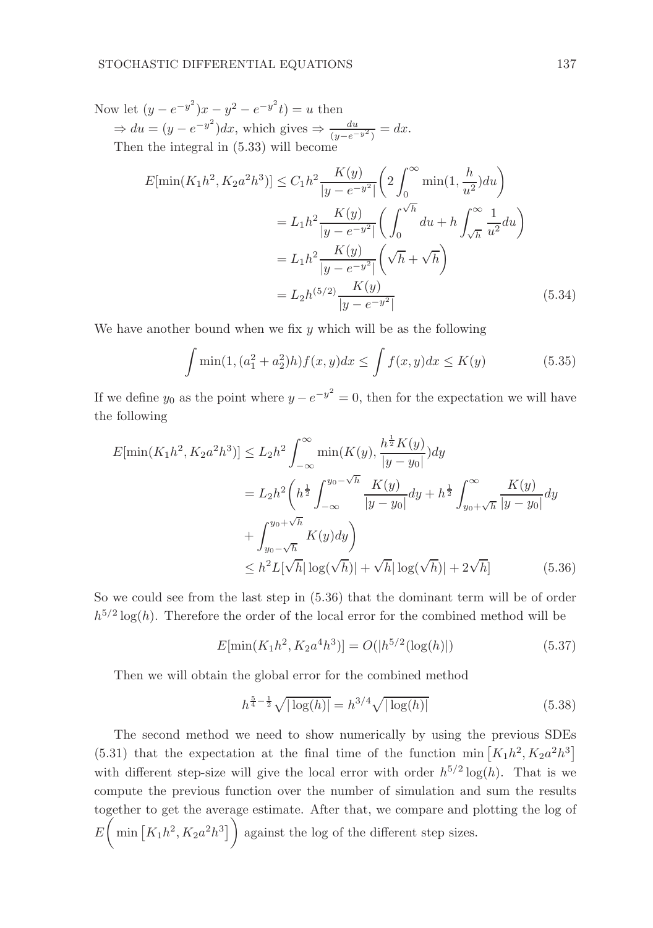Now let  $(y - e^{-y^2})x - y^2 - e^{-y^2}t = u$  then  $\Rightarrow du = (y - e^{-y^2})dx$ , which gives  $\Rightarrow \frac{du}{(y - e^{-y^2})} = dx$ . Then the integral in (5.33) will become

$$
E[\min(K_1 h^2, K_2 a^2 h^3)] \le C_1 h^2 \frac{K(y)}{|y - e^{-y^2}|} \left( 2 \int_0^\infty \min(1, \frac{h}{u^2}) du \right)
$$
  

$$
= L_1 h^2 \frac{K(y)}{|y - e^{-y^2}|} \left( \int_0^{\sqrt{h}} du + h \int_{\sqrt{h}}^\infty \frac{1}{u^2} du \right)
$$
  

$$
= L_1 h^2 \frac{K(y)}{|y - e^{-y^2}|} \left( \sqrt{h} + \sqrt{h} \right)
$$
  

$$
= L_2 h^{(5/2)} \frac{K(y)}{|y - e^{-y^2}|}
$$
(5.34)

We have another bound when we fix  $y$  which will be as the following

$$
\int \min(1, (a_1^2 + a_2^2)h) f(x, y) dx \le \int f(x, y) dx \le K(y)
$$
\n(5.35)

If we define  $y_0$  as the point where  $y - e^{-y^2} = 0$ , then for the expectation we will have the following

$$
E[\min(K_1h^2, K_2a^2h^3)] \le L_2h^2 \int_{-\infty}^{\infty} \min(K(y), \frac{h^{\frac{1}{2}}K(y)}{|y - y_0|}) dy
$$
  
\n
$$
= L_2h^2 \left( h^{\frac{1}{2}} \int_{-\infty}^{y_0 - \sqrt{h}} \frac{K(y)}{|y - y_0|} dy + h^{\frac{1}{2}} \int_{y_0 + \sqrt{h}}^{\infty} \frac{K(y)}{|y - y_0|} dy \right)
$$
  
\n
$$
+ \int_{y_0 - \sqrt{h}}^{y_0 + \sqrt{h}} K(y) dy
$$
  
\n
$$
\le h^2 L[\sqrt{h} |\log(\sqrt{h})| + \sqrt{h} |\log(\sqrt{h})| + 2\sqrt{h}] \tag{5.36}
$$

So we could see from the last step in (5.36) that the dominant term will be of order  $h^{5/2} \log(h)$ . Therefore the order of the local error for the combined method will be

$$
E[\min(K_1 h^2, K_2 a^4 h^3)] = O(|h^{5/2}(\log(h)|))
$$
\n(5.37)

Then we will obtain the global error for the combined method

$$
h^{\frac{5}{4} - \frac{1}{2}} \sqrt{|\log(h)|} = h^{3/4} \sqrt{|\log(h)|}
$$
 (5.38)

The second method we need to show numerically by using the previous SDEs (5.31) that the expectation at the final time of the function min  $[K_1h^2, K_2a^2h^3]$ with different step-size will give the local error with order  $h^{5/2} \log(h)$ . That is we compute the previous function over the number of simulation and sum the results together to get the average estimate. After that, we compare and plotting the log of  $E\left(\min\left[K_1h^2, K_2a^2h^3\right]\right)$  against the log of the different step sizes.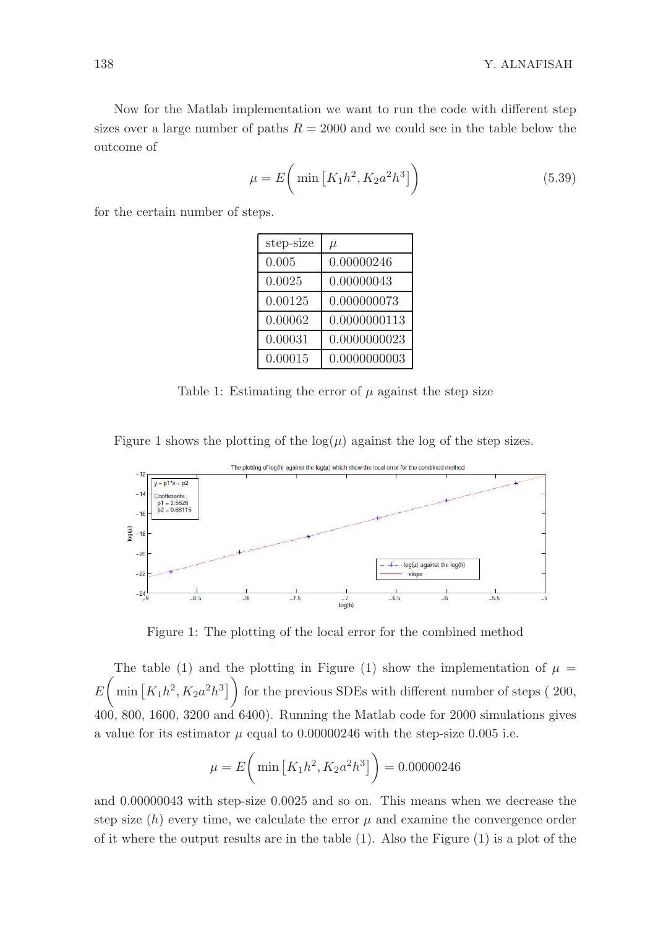Now for the Matlab implementation we want to run the code with different step sizes over a large number of paths  $R = 2000$  and we could see in the table below the outcome of

$$
\mu = E\bigg(\min\left[K_1h^2, K_2a^2h^3\right]\bigg) \tag{5.39}
$$

for the certain number of steps.

| step-size | $\mu$        |
|-----------|--------------|
| 0.005     | 0.00000246   |
| 0.0025    | 0.00000043   |
| 0.00125   | 0.000000073  |
| 0.00062   | 0.0000000113 |
| 0.00031   | 0.0000000023 |
| 0.00015   | 0.0000000003 |

Table 1: Estimating the error of  $\mu$  against the step size

Figure 1 shows the plotting of the  $log(\mu)$  against the log of the step sizes.



Figure 1: The plotting of the local error for the combined method

The table (1) and the plotting in Figure (1) show the implementation of  $\mu =$  $E\left(\min\left[K_1h^2, K_2a^2h^3\right]\right)$  for the previous SDEs with different number of steps (200, 400, 800, 1600, 3200 and 6400). Running the Matlab code for 2000 simulations gives a value for its estimator  $\mu$  equal to 0.00000246 with the step-size 0.005 i.e.

$$
\mu = E\bigg(\min\left[K_1h^2, K_2a^2h^3\right]\bigg) = 0.00000246
$$

and 0.00000043 with step-size 0.0025 and so on. This means when we decrease the step size  $(h)$  every time, we calculate the error  $\mu$  and examine the convergence order of it where the output results are in the table (1). Also the Figure (1) is a plot of the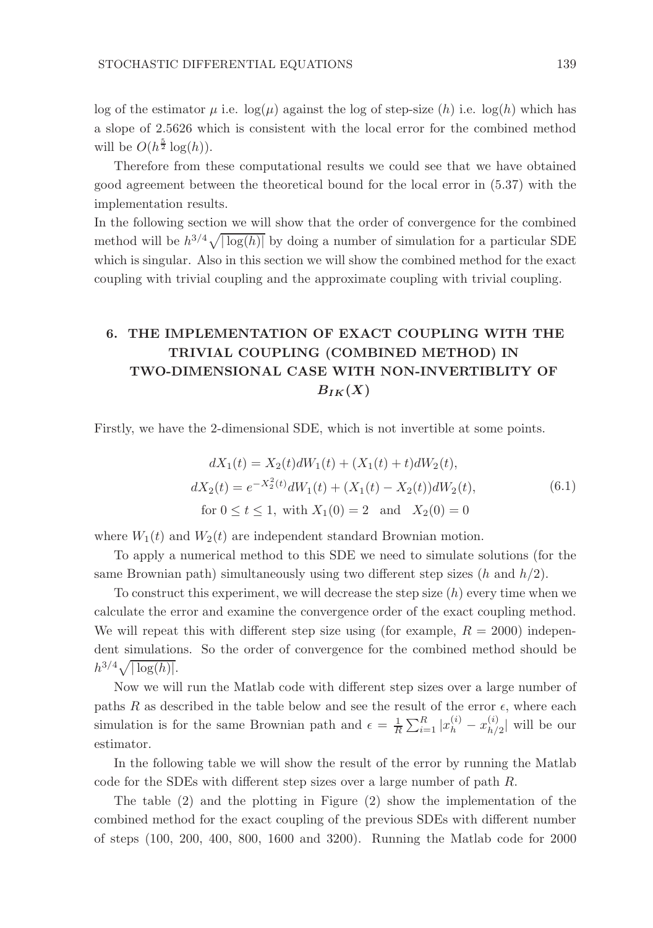log of the estimator  $\mu$  i.e.  $log(\mu)$  against the log of step-size  $(h)$  i.e.  $log(h)$  which has a slope of 2.5626 which is consistent with the local error for the combined method will be  $O(h^{\frac{5}{2}} \log(h)).$ 

Therefore from these computational results we could see that we have obtained good agreement between the theoretical bound for the local error in (5.37) with the implementation results.

In the following section we will show that the order of convergence for the combined method will be  $h^{3/4}\sqrt{|\log(h)|}$  by doing a number of simulation for a particular SDE which is singular. Also in this section we will show the combined method for the exact coupling with trivial coupling and the approximate coupling with trivial coupling.

# 6. THE IMPLEMENTATION OF EXACT COUPLING WITH THE TRIVIAL COUPLING (COMBINED METHOD) IN TWO-DIMENSIONAL CASE WITH NON-INVERTIBLITY OF  $B_{IK}(X)$

Firstly, we have the 2-dimensional SDE, which is not invertible at some points.

$$
dX_1(t) = X_2(t)dW_1(t) + (X_1(t) + t)dW_2(t),
$$
  
\n
$$
dX_2(t) = e^{-X_2^2(t)}dW_1(t) + (X_1(t) - X_2(t))dW_2(t),
$$
  
\nfor  $0 \le t \le 1$ , with  $X_1(0) = 2$  and  $X_2(0) = 0$  (6.1)

where  $W_1(t)$  and  $W_2(t)$  are independent standard Brownian motion.

To apply a numerical method to this SDE we need to simulate solutions (for the same Brownian path) simultaneously using two different step sizes  $(h \text{ and } h/2)$ .

To construct this experiment, we will decrease the step size  $(h)$  every time when we calculate the error and examine the convergence order of the exact coupling method. We will repeat this with different step size using (for example,  $R = 2000$ ) independent simulations. So the order of convergence for the combined method should be  $h^{3/4}\sqrt{|\log(h)|}$ .

Now we will run the Matlab code with different step sizes over a large number of paths R as described in the table below and see the result of the error  $\epsilon$ , where each simulation is for the same Brownian path and  $\epsilon = \frac{1}{R} \sum_{i=1}^{R} |x_h^{(i)} - x_{h}^{(i)}|$  $\binom{v}{h/2}$  will be our estimator.

In the following table we will show the result of the error by running the Matlab code for the SDEs with different step sizes over a large number of path R.

The table (2) and the plotting in Figure (2) show the implementation of the combined method for the exact coupling of the previous SDEs with different number of steps (100, 200, 400, 800, 1600 and 3200). Running the Matlab code for 2000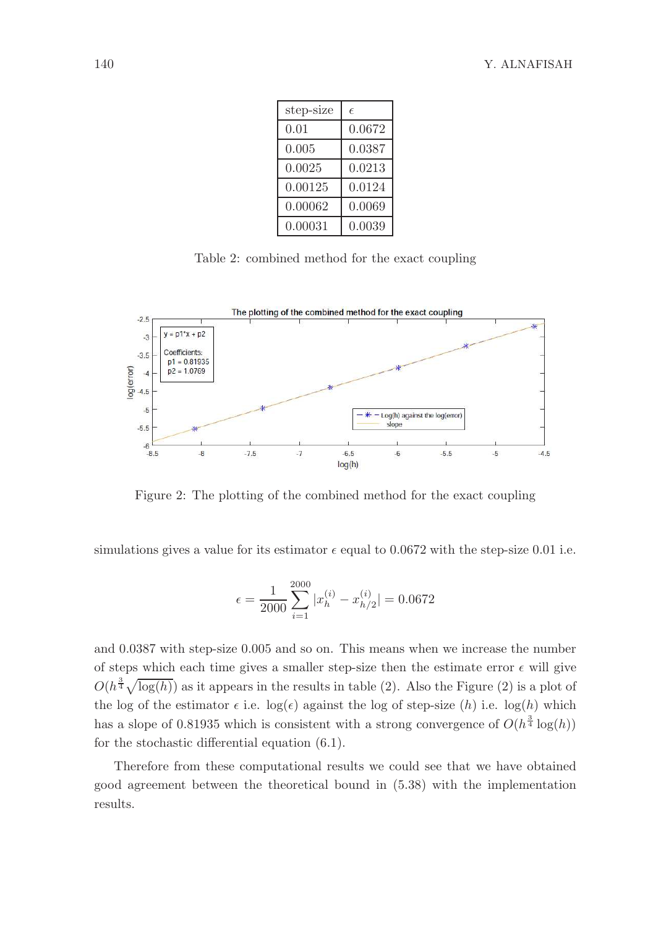| step-size | E      |  |
|-----------|--------|--|
| 0.01      | 0.0672 |  |
| 0.005     | 0.0387 |  |
| 0.0025    | 0.0213 |  |
| 0.00125   | 0.0124 |  |
| 0.00062   | 0.0069 |  |
| 0.00031   | 0.0039 |  |

Table 2: combined method for the exact coupling



Figure 2: The plotting of the combined method for the exact coupling

simulations gives a value for its estimator  $\epsilon$  equal to 0.0672 with the step-size 0.01 i.e.

$$
\epsilon = \frac{1}{2000} \sum_{i=1}^{2000} |x_h^{(i)} - x_{h/2}^{(i)}| = 0.0672
$$

and 0.0387 with step-size 0.005 and so on. This means when we increase the number of steps which each time gives a smaller step-size then the estimate error  $\epsilon$  will give  $O(h^{\frac{3}{4}}\sqrt{\log(h)})$  as it appears in the results in table (2). Also the Figure (2) is a plot of the log of the estimator  $\epsilon$  i.e.  $\log(\epsilon)$  against the log of step-size  $(h)$  i.e.  $\log(h)$  which has a slope of 0.81935 which is consistent with a strong convergence of  $O(h^{\frac{3}{4}} \log(h))$ for the stochastic differential equation (6.1).

Therefore from these computational results we could see that we have obtained good agreement between the theoretical bound in (5.38) with the implementation results.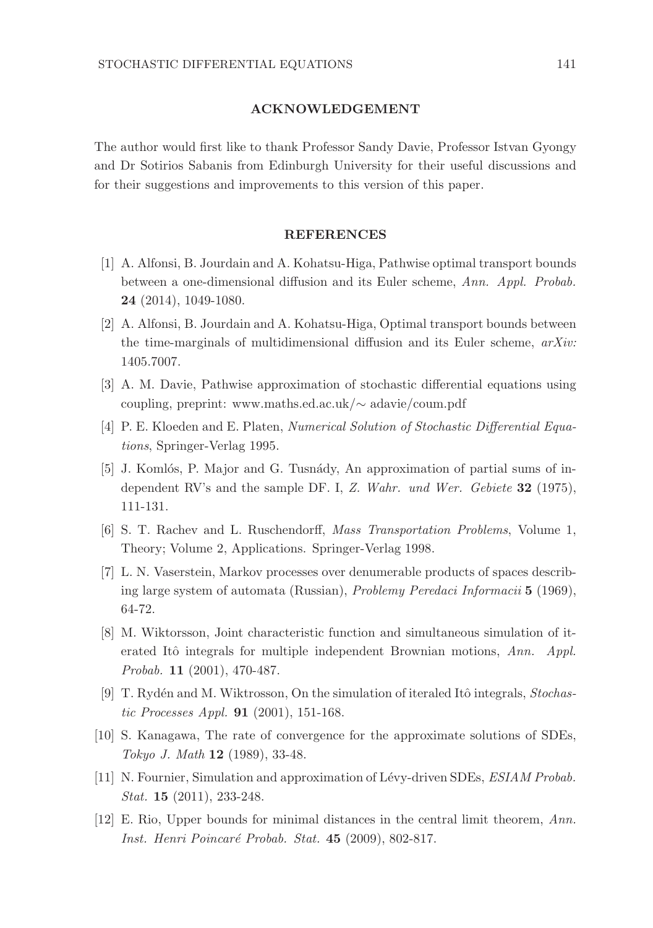#### ACKNOWLEDGEMENT

The author would first like to thank Professor Sandy Davie, Professor Istvan Gyongy and Dr Sotirios Sabanis from Edinburgh University for their useful discussions and for their suggestions and improvements to this version of this paper.

#### REFERENCES

- [1] A. Alfonsi, B. Jourdain and A. Kohatsu-Higa, Pathwise optimal transport bounds between a one-dimensional diffusion and its Euler scheme, Ann. Appl. Probab. 24 (2014), 1049-1080.
- [2] A. Alfonsi, B. Jourdain and A. Kohatsu-Higa, Optimal transport bounds between the time-marginals of multidimensional diffusion and its Euler scheme,  $arXiv$ : 1405.7007.
- [3] A. M. Davie, Pathwise approximation of stochastic differential equations using coupling, preprint: www.maths.ed.ac.uk/∼ adavie/coum.pdf
- [4] P. E. Kloeden and E. Platen, *Numerical Solution of Stochastic Differential Equa*tions, Springer-Verlag 1995.
- [5] J. Komlós, P. Major and G. Tusnády, An approximation of partial sums of independent RV's and the sample DF. I, Z. Wahr. und Wer. Gebiete 32 (1975), 111-131.
- [6] S. T. Rachev and L. Ruschendorff, Mass Transportation Problems, Volume 1, Theory; Volume 2, Applications. Springer-Verlag 1998.
- [7] L. N. Vaserstein, Markov processes over denumerable products of spaces describing large system of automata (Russian), Problemy Peredaci Informacii 5 (1969), 64-72.
- [8] M. Wiktorsson, Joint characteristic function and simultaneous simulation of iterated Itô integrals for multiple independent Brownian motions,  $Ann.$  Appl. Probab. 11 (2001), 470-487.
- [9] T. Rydén and M. Wiktrosson, On the simulation of iteraled Itô integrals, Stochastic Processes Appl. 91 (2001), 151-168.
- [10] S. Kanagawa, The rate of convergence for the approximate solutions of SDEs, Tokyo J. Math 12 (1989), 33-48.
- [11] N. Fournier, Simulation and approximation of Lévy-driven SDEs, ESIAM Probab. Stat. **15** (2011), 233-248.
- [12] E. Rio, Upper bounds for minimal distances in the central limit theorem, Ann. Inst. Henri Poincaré Probab. Stat. 45 (2009), 802-817.